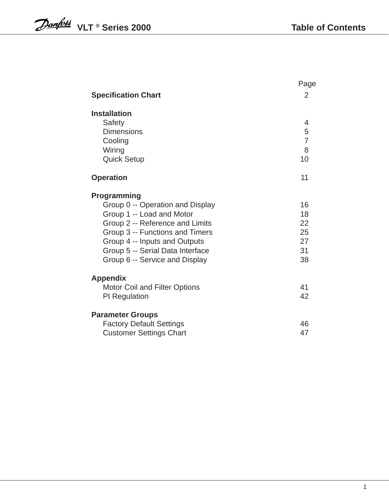|                                      | Page           |
|--------------------------------------|----------------|
| <b>Specification Chart</b>           | $\overline{2}$ |
| <b>Installation</b>                  |                |
| Safety                               | 4              |
| <b>Dimensions</b>                    | 5              |
| Cooling                              | $\overline{7}$ |
| Wiring                               | 8              |
| <b>Quick Setup</b>                   | 10             |
|                                      |                |
| <b>Operation</b>                     | 11             |
| Programming                          |                |
| Group 0 -- Operation and Display     | 16             |
| Group 1 -- Load and Motor            | 18             |
| Group 2 -- Reference and Limits      | 22             |
| Group 3 -- Functions and Timers      | 25             |
| Group 4 -- Inputs and Outputs        | 27             |
| Group 5 -- Serial Data Interface     | 31             |
| Group 6 -- Service and Display       | 38             |
|                                      |                |
| <b>Appendix</b>                      |                |
| <b>Motor Coil and Filter Options</b> | 41<br>42       |
| <b>PI</b> Regulation                 |                |
| <b>Parameter Groups</b>              |                |
| <b>Factory Default Settings</b>      | 46             |
| <b>Customer Settings Chart</b>       | 47             |
|                                      |                |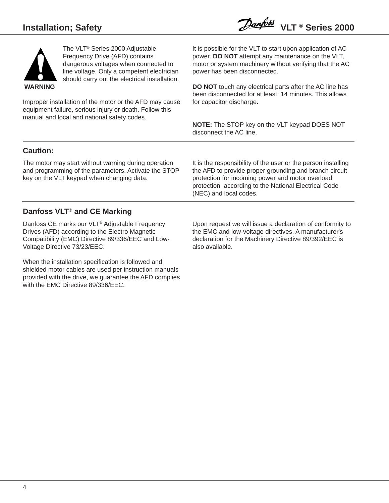

Improper installation of the motor or the AFD may cause equipment failure, serious injury or death. Follow this manual and local and national safety codes.

It is possible for the VLT to start upon application of AC power. **DO NOT** attempt any maintenance on the VLT, motor or system machinery without verifying that the AC power has been disconnected.

**DO NOT** touch any electrical parts after the AC line has been disconnected for at least 14 minutes. This allows for capacitor discharge.

**NOTE:** The STOP key on the VLT keypad DOES NOT disconnect the AC line.

### **Caution:**

The motor may start without warning during operation and programming of the parameters. Activate the STOP key on the VLT keypad when changing data.

It is the responsibility of the user or the person installing the AFD to provide proper grounding and branch circuit protection for incoming power and motor overload protection according to the National Electrical Code (NEC) and local codes.

# **Danfoss VLT® and CE Marking**

Danfoss CE marks our VLT® Adjustable Frequency Drives (AFD) according to the Electro Magnetic Compatibility (EMC) Directive 89/336/EEC and Low-Voltage Directive 73/23/EEC.

When the installation specification is followed and shielded motor cables are used per instruction manuals provided with the drive, we guarantee the AFD complies with the EMC Directive 89/336/EEC.

Upon request we will issue a declaration of conformity to the EMC and low-voltage directives. A manufacturer's declaration for the Machinery Directive 89/392/EEC is also available.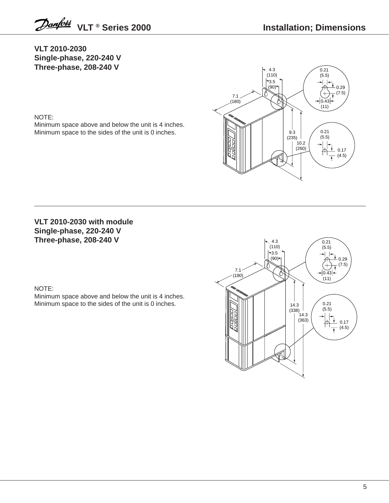Danford VLT ® Series 2000

**VLT 2010-2030 Single-phase, 220-240 V Three-phase, 208-240 V**

### NOTE:

Minimum space above and below the unit is 4 inches. Minimum space to the sides of the unit is 0 inches.



### **VLT 2010-2030 with module Single-phase, 220-240 V Three-phase, 208-240 V**

### NOTE:

Minimum space above and below the unit is 4 inches. Minimum space to the sides of the unit is 0 inches.

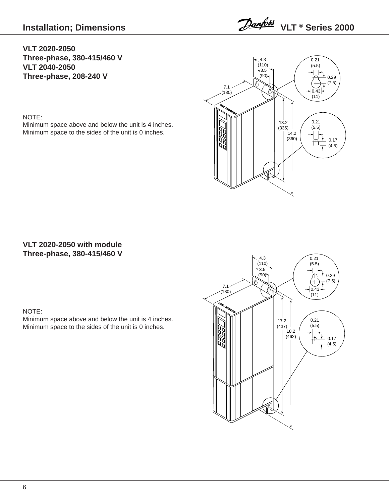Danford VLT ® Series 2000

### **VLT 2020-2050 Three-phase, 380-415/460 V VLT 2040-2050 Three-phase, 208-240 V**

### NOTE:

Minimum space above and below the unit is 4 inches. Minimum space to the sides of the unit is 0 inches.



## **VLT 2020-2050 with module Three-phase, 380-415/460 V**

### NOTE:

Minimum space above and below the unit is 4 inches. Minimum space to the sides of the unit is 0 inches.

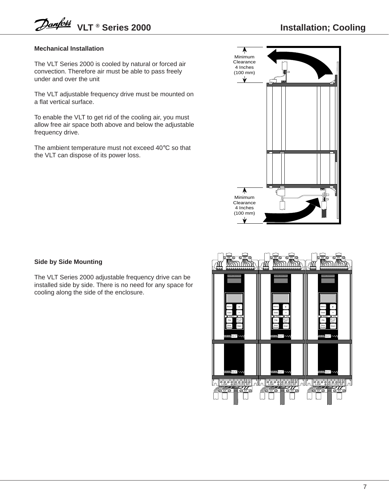### **Mechanical Installation**

The VLT Series 2000 is cooled by natural or forced air convection. Therefore air must be able to pass freely under and over the unit

The VLT adjustable frequency drive must be mounted on a flat vertical surface.

To enable the VLT to get rid of the cooling air, you must allow free air space both above and below the adjustable frequency drive.

The ambient temperature must not exceed 40°C so that the VLT can dispose of its power loss.



### **Side by Side Mounting**

The VLT Series 2000 adjustable frequency drive can be installed side by side. There is no need for any space for cooling along the side of the enclosure.

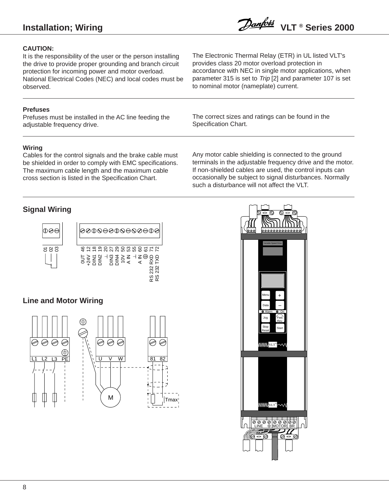# **Installation; Wiring**

### **CAUTION:**

It is the responsibility of the user or the person installing the drive to provide proper grounding and branch circuit protection for incoming power and motor overload. National Electrical Codes (NEC) and local codes must be observed.

### **Prefuses**

Prefuses must be installed in the AC line feeding the adjustable frequency drive.

The Electronic Thermal Relay (ETR) in UL listed VLT's provides class 20 motor overload protection in accordance with NEC in single motor applications, when parameter 315 is set to Trip [2] and parameter 107 is set to nominal motor (nameplate) current.

The correct sizes and ratings can be found in the Specification Chart.

### **Wiring**

Cables for the control signals and the brake cable must be shielded in order to comply with EMC specifications. The maximum cable length and the maximum cable cross section is listed in the Specification Chart.

Any motor cable shielding is connected to the ground terminals in the adjustable frequency drive and the motor. If non-shielded cables are used, the control inputs can occasionally be subject to signal disturbances. Normally such a disturbance will not affect the VLT.

### **Signal Wiring**



### **Line and Motor Wiring**



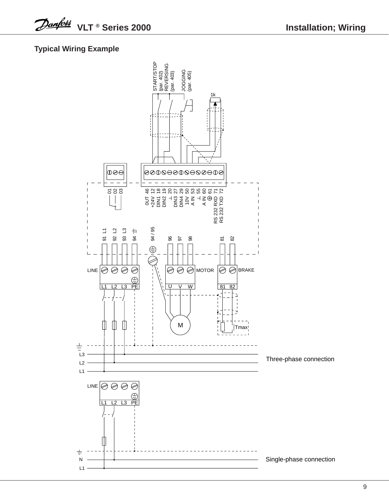**VLT ® Series 2000**

## **Typical Wiring Example**

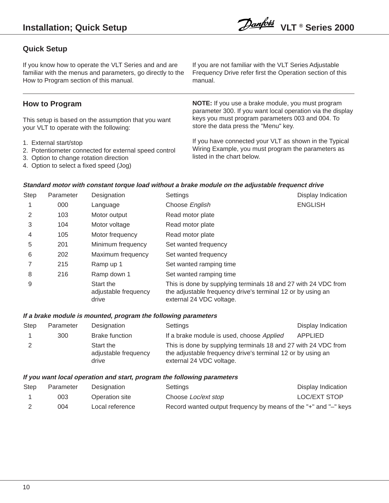### **Quick Setup**

If you know how to operate the VLT Series and and are familiar with the menus and parameters, go directly to the How to Program section of this manual.

### **How to Program**

This setup is based on the assumption that you want your VLT to operate with the following:

- 1. External start/stop
- 2. Potentiometer connected for external speed control
- 3. Option to change rotation direction
- 4. Option to select a fixed speed (Jog)

If you are not familiar with the VLT Series Adjustable Frequency Drive refer first the Operation section of this manual.

**NOTE:** If you use a brake module, you must program parameter 300. If you want local operation via the display keys you must program parameters 003 and 004. To store the data press the "Menu" key.

If you have connected your VLT as shown in the Typical Wiring Example, you must program the parameters as listed in the chart below.

### **Standard motor with constant torque load without a brake module on the adjustable frequenct drive**

| Step | Parameter | Designation                                | Settings                                                                                                                                                  | Display Indication |
|------|-----------|--------------------------------------------|-----------------------------------------------------------------------------------------------------------------------------------------------------------|--------------------|
|      | 000       | Language                                   | Choose English                                                                                                                                            | <b>ENGLISH</b>     |
|      | 103       | Motor output                               | Read motor plate                                                                                                                                          |                    |
| 3    | 104       | Motor voltage                              | Read motor plate                                                                                                                                          |                    |
| 4    | 105       | Motor frequency                            | Read motor plate                                                                                                                                          |                    |
| 5    | 201       | Minimum frequency                          | Set wanted frequency                                                                                                                                      |                    |
| 6    | 202       | Maximum frequency                          | Set wanted frequency                                                                                                                                      |                    |
|      | 215       | Ramp up 1                                  | Set wanted ramping time                                                                                                                                   |                    |
| 8    | 216       | Ramp down 1                                | Set wanted ramping time                                                                                                                                   |                    |
| 9    |           | Start the<br>adjustable frequency<br>drive | This is done by supplying terminals 18 and 27 with 24 VDC from<br>the adjustable frequency drive's terminal 12 or by using an<br>external 24 VDC voltage. |                    |

### **If a brake module is mounted, program the following parameters**

| <b>Step</b> | Parameter | Designation                                | Settings                                                                                                                                                  | Display Indication |
|-------------|-----------|--------------------------------------------|-----------------------------------------------------------------------------------------------------------------------------------------------------------|--------------------|
|             | 300       | <b>Brake function</b>                      | If a brake module is used, choose Applied                                                                                                                 | APPLIED            |
|             |           | Start the<br>adjustable frequency<br>drive | This is done by supplying terminals 18 and 27 with 24 VDC from<br>the adjustable frequency drive's terminal 12 or by using an<br>external 24 VDC voltage. |                    |

### **If you want local operation and start, program the following parameters**

| Step | Parameter | Designation     | Settings                   | Display Indication                                              |
|------|-----------|-----------------|----------------------------|-----------------------------------------------------------------|
|      | 003       | Operation site  | Choose <i>Loc/ext</i> stop | <b>LOC/EXT STOP</b>                                             |
|      | 004       | Local reference |                            | Record wanted output frequency by means of the "+" and "-" keys |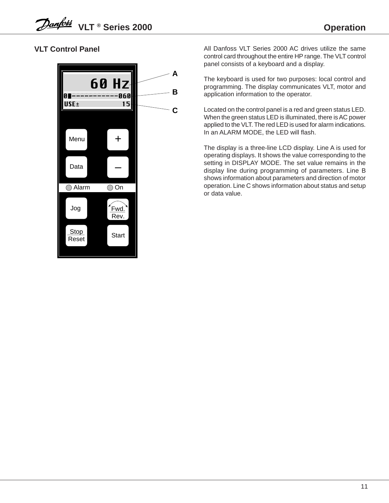# **VLT Control Panel**



All Danfoss VLT Series 2000 AC drives utilize the same control card throughout the entire HP range. The VLT control panel consists of a keyboard and a display.

The keyboard is used for two purposes: local control and programming. The display communicates VLT, motor and application information to the operator.

Located on the control panel is a red and green status LED. When the green status LED is illuminated, there is AC power applied to the VLT. The red LED is used for alarm indications. In an ALARM MODE, the LED will flash.

The display is a three-line LCD display. Line A is used for operating displays. It shows the value corresponding to the setting in DISPLAY MODE. The set value remains in the display line during programming of parameters. Line B shows information about parameters and direction of motor operation. Line C shows information about status and setup or data value.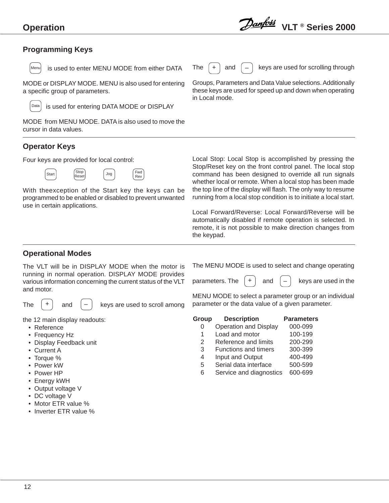### **Programming Keys**



 $\begin{vmatrix} \text{Mean} \\ \text{if} \\ \text{if} \\ \text{if} \\ \text{if} \\ \text{if} \\ \text{if} \\ \text{if} \\ \text{if} \\ \text{if} \\ \text{if} \\ \text{if} \\ \text{if} \\ \text{if} \\ \text{if} \\ \text{if} \\ \text{if} \\ \text{if} \\ \text{if} \\ \text{if} \\ \text{if} \\ \text{if} \\ \text{if} \\ \text{if} \\ \text{if} \\ \text{if} \\ \text{if} \\ \text{if} \\ \text{if} \\ \text{if} \\ \text{if} \\ \text{if} \\ \text{if} \\ \text{if} \\ \text{if} \\ \text{if$ 

MODE or DISPLAY MODE. MENU is also used for entering a specific group of parameters.

 is used for entering DATA MODE or DISPLAY Data

MODE from MENU MODE. DATA is also used to move the cursor in data values.

### **Operator Keys**

Four keys are provided for local control:



With theexception of the Start key the keys can be programmed to be enabled or disabled to prevent unwanted use in certain applications.



The  $\left| + \right|$  and  $\left| - \right|$  keys are used for scrolling through

Groups, Parameters and Data Value selections. Additionally these keys are used for speed up and down when operating in Local mode.

Local Stop: Local Stop is accomplished by pressing the Stop/Reset key on the front control panel. The local stop command has been designed to override all run signals whether local or remote. When a local stop has been made the top line of the display will flash. The only way to resume running from a local stop condition is to initiate a local start.

Local Forward/Reverse: Local Forward/Reverse will be automatically disabled if remote operation is selected. In remote, it is not possible to make direction changes from the keypad.

### **Operational Modes**

The VLT will be in DISPLAY MODE when the motor is running in normal operation. DISPLAY MODE provides various information concerning the current status of the VLT and motor.

The  $\vert + \vert$  and  $\vert - \vert$  keys are used to scroll among

the 12 main display readouts:

and

- Reference
- Frequency Hz
- Display Feedback unit
- Current A
- Torque %
- Power kW
- Power HP
- Energy kWH
- Output voltage V
- DC voltage V
- Motor ETR value %
- Inverter ETR value %

The MENU MODE is used to select and change operating

parameters. The  $\vert + \vert$  and  $\vert - \vert$  keys are used in the and

MENU MODE to select a parameter group or an individual parameter or the data value of a given parameter.

- **Group Description Parameters**
	- 0 Operation and Display 000-099
	- 1 Load and motor 100-199
	- 2 Reference and limits 200-299
	- 3 Functions and timers 300-399
	- 4 Input and Output 400-499
	- 5 Serial data interface 500-599
	- 6 Service and diagnostics 600-699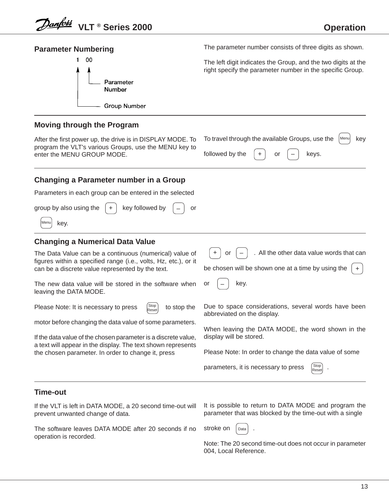| <b>Parameter Numbering</b>                                                                                                                                                           | The parameter number consists of three digits as shown.                                                                                |
|--------------------------------------------------------------------------------------------------------------------------------------------------------------------------------------|----------------------------------------------------------------------------------------------------------------------------------------|
| 00<br>Parameter<br>Number<br><b>Group Number</b>                                                                                                                                     | The left digit indicates the Group, and the two digits at the<br>right specify the parameter number in the specific Group.             |
| <b>Moving through the Program</b>                                                                                                                                                    |                                                                                                                                        |
| After the first power up, the drive is in DISPLAY MODE. To<br>program the VLT's various Groups, use the MENU key to<br>enter the MENU GROUP MODE.                                    | To travel through the available Groups, use the<br>key<br>Menu<br>followed by the<br>keys.<br>or                                       |
| Changing a Parameter number in a Group                                                                                                                                               |                                                                                                                                        |
| Parameters in each group can be entered in the selected                                                                                                                              |                                                                                                                                        |
| group by also using the<br>key followed by<br>or<br>key.<br>Menu                                                                                                                     |                                                                                                                                        |
| <b>Changing a Numerical Data Value</b>                                                                                                                                               |                                                                                                                                        |
| The Data Value can be a continuous (numerical) value of<br>figures within a specified range (i.e., volts, Hz, etc.), or it<br>can be a discrete value represented by the text.       | . All the other data value words that can<br>or<br>be chosen will be shown one at a time by using the                                  |
| The new data value will be stored in the software when<br>leaving the DATA MODE.                                                                                                     | key.<br>or                                                                                                                             |
| <b>Stop</b><br>Please Note: It is necessary to press<br>to stop the<br>Reset<br>motor before changing the data value of some parameters.                                             | Due to space considerations, several words have been<br>abbreviated on the display.                                                    |
| If the data value of the chosen parameter is a discrete value,<br>a text will appear in the display. The text shown represents<br>the chosen parameter. In order to change it, press | When leaving the DATA MODE, the word shown in the<br>display will be stored.<br>Please Note: In order to change the data value of some |
|                                                                                                                                                                                      | Stop<br>parameters, it is necessary to press<br>Reset                                                                                  |
| Time-out                                                                                                                                                                             |                                                                                                                                        |
| If the VLT is left in DATA MODE, a 20 second time-out will<br>prevent unwanted change of data.                                                                                       | It is possible to return to DATA MODE and program the<br>parameter that was blocked by the time-out with a single                      |

The software leaves DATA MODE after 20 seconds if no stroke on  $\int_{\text{Data}}$  . operation is recorded.

Data

Note: The 20 second time-out does not occur in parameter 004, Local Reference.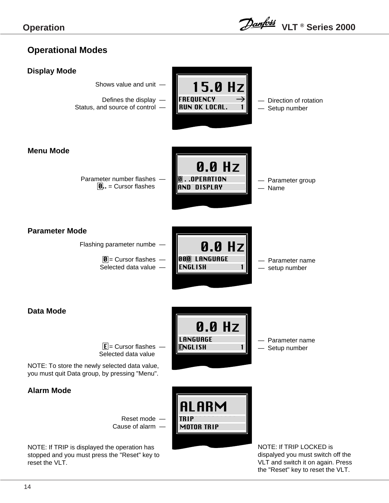# **Operational Modes**

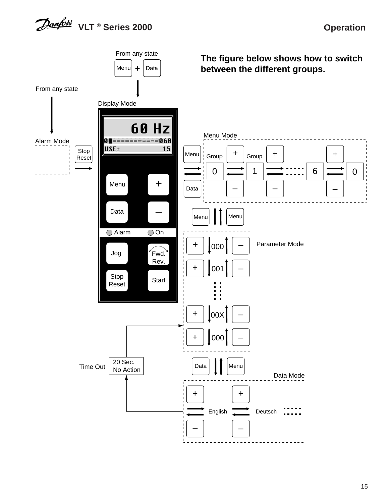![](_page_12_Figure_2.jpeg)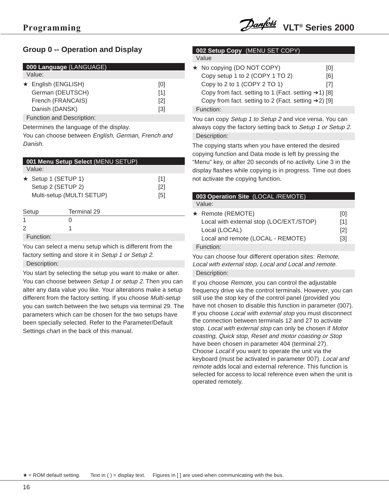### **Group 0 -- Operation and Display**

|  | 000 Language (LANGUAGE)   |  |     |  |  |
|--|---------------------------|--|-----|--|--|
|  | Value:                    |  |     |  |  |
|  | $\star$ English (ENGLISH) |  | [0] |  |  |
|  | German (DEUTSCH)          |  | [1] |  |  |
|  | French (FRANCAIS)         |  | [2] |  |  |
|  | Danish (DANSK)            |  | [3] |  |  |
|  | Function and Description: |  |     |  |  |

Determines the language of the display.

You can choose between English, German, French and Danish.

|       | 001 Menu Setup Select (MENU SETUP) |     |
|-------|------------------------------------|-----|
|       | Value:                             |     |
|       | ★ Setup 1 (SETUP 1)                | [1] |
|       | Setup 2 (SETUP 2)                  | [2] |
|       | Multi-setup (MULTI SETUP)          | [5] |
| Setup | Terminal 29                        |     |

Function:

You can select a menu setup which is different from the factory setting and store it in Setup 1 or Setup 2. Description:

You start by selecting the setup you want to make or alter. You can choose between Setup 1 or setup 2. Then you can alter any data value you like. Your alterations make a setup different from the factory setting. If you choose Multi-setup you can switch between the two setups via terminal 29. The parameters which can be chosen for the two setups have been specially selected. Refer to the Parameter/Default Settings chart in the back of this manual.

### **002 Setup Copy** ((MENU SET COPY) Value

| ★ No copying (DO NOT COPY)                                       | 101 |
|------------------------------------------------------------------|-----|
| Copy setup 1 to 2 (COPY 1 TO 2)                                  | [6] |
| Copy to 2 to 1 (COPY 2 TO 1)                                     | [7] |
| Copy from fact. setting to 1 (Fact. setting $\rightarrow$ 1) [8] |     |
| Copy from fact. setting to 2 (Fact. setting →2) [9]              |     |
| Function:                                                        |     |

You can copy Setup 1 to Setup 2 and vice versa. You can always copy the factory setting back to Setup 1 or Setup 2. Description:

The copying starts when you have entered the desired copying function and Data mode is left by pressing the "Menu" key, or after 20 seconds of no activity. Line 3 in the display flashes while copying is in progress. Time out does not activate the copying function.

| Value:<br>$\star$ Remote (REMOTE)<br>[0]<br>Local with external stop (LOC/EXT./STOP)<br>[1]<br>Local (LOCAL)<br>$\lceil 2 \rceil$<br>Local and remote (LOCAL - REMOTE)<br>[3]<br>Function: | 003 Operation Site (LOCAL/REMOTE) |  |
|--------------------------------------------------------------------------------------------------------------------------------------------------------------------------------------------|-----------------------------------|--|
|                                                                                                                                                                                            |                                   |  |
|                                                                                                                                                                                            |                                   |  |
|                                                                                                                                                                                            |                                   |  |

You can choose four different operation sites: Remote, Local with external stop, Local and Local and remote. Description:

If you choose Remote, you can control the adjustable frequency drive via the control terminals. However, you can still use the stop key of the control panel (provided you have not chosen to disable this function in parameter (007). If you choose Local with external stop you must disconnect the connection between terminals 12 and 27 to activate stop. Local with external stop can only be chosen if Motor coasting, Quick stop, Reset and motor coasting or Stop have been chosen in parameter 404 (terminal 27). Choose Local if you want to operate the unit via the keyboard (must be activated in parameter 007). Local and remote adds local and external reference. This function is selected for access to local reference even when the unit is operated remotely.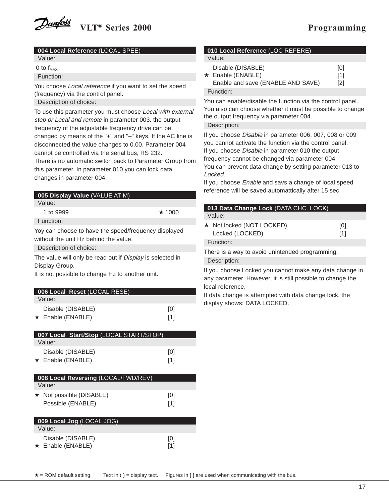### **004 Local Reference** (LOCAL SPEE)

Value:

0 to  $f_{MAX}$ 

Function:

You choose Local reference if you want to set the speed (frequency) via the control panel. Description of choice:

To use this parameter you must choose Local with external stop or Local and remote in parameter 003. the output frequency of the adjustable frequency drive can be changed by means of the "+" and "–" keys. If the AC line is disconnected the value changes to 0.00. Parameter 004 cannot be controlled via the serial bus, RS 232.

There is no automatic switch back to Parameter Group from this parameter. In parameter 010 you can lock data changes in parameter 004.

| <b>005 Display Value (VALUE AT M)</b>                |              |
|------------------------------------------------------|--------------|
| Value:                                               |              |
| 1 to 9999                                            | $\star$ 1000 |
| Function:                                            |              |
| Yoy can choose to have the speed/frequency displayed |              |
| without the unit Hz behind the value.                |              |
|                                                      |              |

Description of choice:

The value will only be read out if Display is selected in Display Group.

It is not possible to change Hz to another unit.

| 006 Local Reset (LOCAL RESE) |     |
|------------------------------|-----|
| Value:                       |     |
| Disable (DISABLE)            | [0] |
| $\star$ Enable (ENABLE)      | [1] |

| 007 Local Start/Stop (LOCAL START/STOP)      |            |
|----------------------------------------------|------------|
| Value:                                       |            |
| Disable (DISABLE)<br>$\star$ Enable (ENABLE) | [0]<br>[1] |
|                                              |            |

| 008 Local Reversing (LOCAL/FWD/REV)                 |            |
|-----------------------------------------------------|------------|
| Value:                                              |            |
| $\star$ Not possible (DISABLE)<br>Possible (ENABLE) | [0]<br>[1] |

| 009 Local Jog (LOCAL JOG) |     |
|---------------------------|-----|
| Value:                    |     |
| Disable (DISABLE)         | [0] |
| $\star$ Enable (ENABLE)   | [1] |

| 010 Local Reference (LOC REFERE) |  |
|----------------------------------|--|
| Value:                           |  |

| Disable (DISABLE)<br>$\star$ Enable (ENABLE)<br>Enable and save (ENABLE AND SAVE) | [0]<br>[1]<br>$\lceil 2 \rceil$ |
|-----------------------------------------------------------------------------------|---------------------------------|
| Function:                                                                         |                                 |

You can enable/disable the function via the control panel. You also can choose whether it must be possible to change the output frequency via parameter 004.

Description:

If you choose Disable in parameter 006, 007, 008 or 009 you cannot activate the function via the control panel. If you choose Disable in parameter 010 the output frequency cannot be changed via parameter 004. You can prevent data change by setting parameter 013 to Locked.

If you choose Enable and savs a change of local speed reference will be saved automattically after 15 sec.

| 013 Data Change Lock (DATA CHC. LOCK)                                                                                 |     |  |  |
|-----------------------------------------------------------------------------------------------------------------------|-----|--|--|
| Value:                                                                                                                |     |  |  |
| ★ Not locked (NOT LOCKED)                                                                                             | [0] |  |  |
| Locked (LOCKED)                                                                                                       | [1] |  |  |
| Function:                                                                                                             |     |  |  |
| There is a way to avoid unintended programming.                                                                       |     |  |  |
| Description:                                                                                                          |     |  |  |
| If you choose Locked you cannot make any data change in<br>any parameter. However, it is still possible to change the |     |  |  |
| local reference.                                                                                                      |     |  |  |

If data change is attempted with data change lock, the display shows: DATA LOCKED.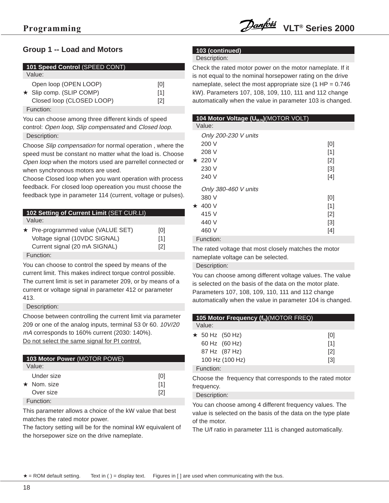### **Group 1 -- Load and Motors**

| 101 Speed Control (SPEED CONT) |                                                                                      |                   |  |
|--------------------------------|--------------------------------------------------------------------------------------|-------------------|--|
|                                | Value:                                                                               |                   |  |
|                                | Open loop (OPEN LOOP)<br>$\star$ Slip comp. (SLIP COMP)<br>Closed loop (CLOSED LOOP) | [0]<br>[1]<br>[2] |  |

Function:

You can choose among three different kinds of speed control: Open loop, Slip compensated and Closed loop. Description:

Choose Slip compensation for normal operation , where the speed must be constant no matter what the load is. Choose Open loop when the motors used are parrellel connected or when synchronous motors are used.

Choose Closed loop when you want operation with process feedback. For closed loop opereation you must choose the feedback type in parameter 114 (current, voltage or pulses).

| 102 Setting of Current Limit (SET CUR.LI)                                                            |                                 |  |  |
|------------------------------------------------------------------------------------------------------|---------------------------------|--|--|
| Value:                                                                                               |                                 |  |  |
| ★ Pre-programmed value (VALUE SET)<br>Voltage signal (10VDC SIGNAL)<br>Current signal (20 mA SIGNAL) | [0]<br>[1]<br>$\lceil 2 \rceil$ |  |  |
|                                                                                                      |                                 |  |  |

Function:

You can choose to control the speed by means of the current limit. This makes indirect torque control possible. The current limit is set in parameter 209, or by means of a current or voltage signal in parameter 412 or parameter 413.

Description:

Choose between controlling the current limit via parameter 209 or one of the analog inputs, terminal 53 0r 60. 10V/20 mA corresponds to 160% current (2030: 140%). Do not select the same signal for PI control.

| <b>103 Motor Power (MOTOR POWE)</b> |                   |
|-------------------------------------|-------------------|
| Value:                              |                   |
| Under size                          | [0]               |
| $\star$ Nom size                    | [1]               |
| Over size                           | $\lceil 2 \rceil$ |
| Function:                           |                   |

This parameter allows a choice of the kW value that best matches the rated motor power.

The factory setting will be for the nominal kW equivalent of the horsepower size on the drive nameplate.

### **103 (continued)**

#### Description:

Check the rated motor power on the motor nameplate. If it is not equal to the nominal horsepower rating on the drive nameplate, select the most appropriate size  $(1$  HP = 0.746 kW). Parameters 107, 108, 109, 110, 111 and 112 change automatically when the value in parameter 103 is changed.

| Value: |  |
|--------|--|
|        |  |

L

|         | Only 200-230 V units                            |       |
|---------|-------------------------------------------------|-------|
|         | 200 V                                           | [0]   |
|         | 208 V                                           | [1]   |
| $\star$ | 220 V                                           | $[2]$ |
|         | 230 V                                           | $[3]$ |
|         | 240 V                                           | $[4]$ |
|         | Only 380-460 V units                            |       |
|         | 380 V                                           | [0]   |
| $\star$ | 400 V                                           | [1]   |
|         | 415 V                                           | [2]   |
|         | 440 V                                           | $[3]$ |
|         | 460 V                                           | [4]   |
|         | $\Gamma$ and $\Gamma$ and $\Gamma$ and $\Gamma$ |       |

### Function:

The rated voltage that most closely matches the motor nameplate voltage can be selected.

#### Description:

You can choose among different voltage values. The value is selected on the basis of the data on the motor plate. Parameters 107, 108, 109, 110, 111 and 112 change automatically when the value in parameter 104 is changed.

| 105 Motor Frequency $(f_N)$ (MOTOR FREQ) |                   |
|------------------------------------------|-------------------|
| Value:                                   |                   |
| $\star$ 50 Hz (50 Hz)                    | [0]               |
| 60 Hz (60 Hz)                            | [1]               |
| 87 Hz (87 Hz)                            | $\lceil 2 \rceil$ |
| 100 Hz (100 Hz)                          | [3]               |
| Function:                                |                   |

Choose the frequency that corresponds to the rated motor frequency.

#### Description:

You can choose among 4 different frequency values. The value is selected on the basis of the data on the type plate of the motor.

The U/f ratio in parameter 111 is changed automatically.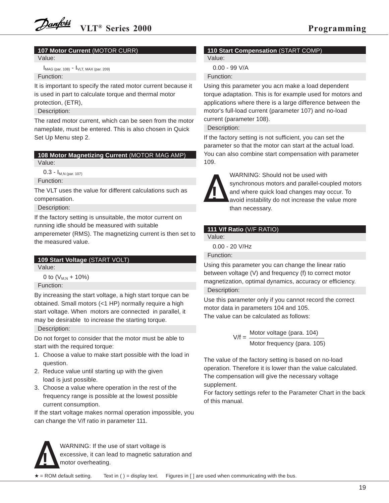### **107 Motor Current** (MOTOR CURR)

Value:

 $I_{\text{MAG (par. 108)}}$  -  $I_{\text{VLT, MAX (par. 209)}}$ Function:

It is important to specify the rated motor current because it is used in part to calculate torque and thermal motor protection, (ETR),

Description:

The rated motor current, which can be seen from the motor nameplate, must be entered. This is also chosen in Quick Set Up Menu step 2.

# **108 Motor Magnetizing Current** (MOTOR MAG AMP)

Value:

 $0.3 - I_{M.N (par. 107)}$ Function:

The VLT uses the value for different calculations such as compensation.

Description:

If the factory setting is unsuitable, the motor current on running idle should be measured with suitable

amperemeter (RMS). The magnetizing current is then set to the measured value.

### **109 Start Voltage** (START VOLT)

Value:

0 to  $(V_{M,N} + 10\%)$ Function:

By increasing the start voltage, a high start torque can be obtained. Small motors (<1 HP) normally require a high start voltage. When motors are connected in parallel, it may be desirable to increase the starting torque.

Description:

Do not forget to consider that the motor must be able to start with the required torque:

- 1. Choose a value to make start possible with the load in question.
- 2. Reduce value until starting up with the given load is just possible.
- 3. Choose a value where operation in the rest of the frequency range is possible at the lowest possible current consumption.

If the start voltage makes normal operation impossible, you can change the V/f ratio in parameter 111.

### **110 Start Compensation** (START COMP)

Value:

0.00 - 99 V/A

Function:

Using this parameter you acn make a load dependent torque adaptation. This is for example used for motors and applications where there is a large difference between the motor's full-load current (parameter 107) and no-load current (parameter 108).

Description:

If the factory setting is not sufficient, you can set the parameter so that the motor can start at the actual load. You can also combine start compensation with parameter 109.

![](_page_16_Picture_32.jpeg)

WARNING: Should not be used with synchronous motors and parallel-coupled motors and where quick load changes may occur. To avoid instability do not increase the value more than necessary.

### **111 V/f Ratio** (V/F RATIO)

Value:

0.00 - 20 V/Hz

Function:

Using this parameter you can change the linear ratio between voltage (V) and frequency (f) to correct motor magnetization, optimal dynamics, accuracy or efficiency. Description:

Use this parameter only if you cannot record the correct motor data in parameters 104 and 105. The value can be calculated as follows:

> Motor voltage (para. 104) Motor frequency (para. 105)  $V/f =$

The value of the factory setting is based on no-load operation. Therefore it is lower than the value calculated. The compensation will give the necessary voltage supplement.

For factory settings refer to the Parameter Chart in the back of this manual.

![](_page_16_Picture_43.jpeg)

WARNING: If the use of start voltage is excessive, it can lead to magnetic saturation and motor overheating.

Text in ( ) = display text. Figures in  $[$  ] are used when communicating with the bus. **★** = ROM default setting.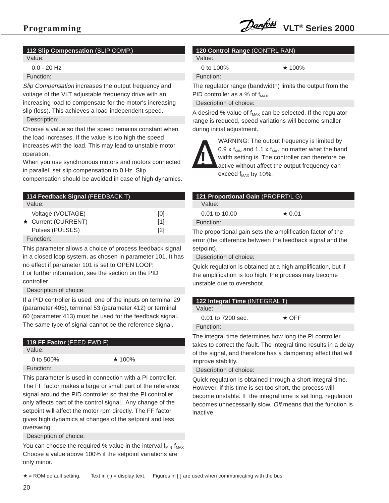### **112 Slip Compensation** (SLIP COMP.)

Value:

0.0 - 20 Hz

Function:

Slip Compensation increases the output frequency and voltage of the VLT adjustable frequency drive with an increasing load to compensate for the motor's increasing slip (loss). This achieves a load-independent speed. Description:

Choose a value so that the speed remains constant when the load increases. If the value is too high the speed increases with the load. This may lead to unstable motor operation.

When you use synchronous motors and motors connected in parallel, set slip compensation to 0 Hz. Slip

compensation should be avoided in case of high dynamics.

| 114 Feedback Signal (FEEDBACK T) |                   |
|----------------------------------|-------------------|
| Value:                           |                   |
| Voltage (VOLTAGE)                | [0]               |
| ★ Current (CURRENT)              | [1]               |
| Pulses (PULSES)                  | $\lceil 2 \rceil$ |
| Function:                        |                   |

This parameter allows a choice of process feedback signal in a closed loop system, as chosen in parameter 101. It has no effect if parameter 101 is set to OPEN LOOP. For further information, see the section on the PID controller.

Description of choice:

If a PID controller is used, one of the inputs on terminal 29 (parameter 405), terminal 53 (parameter 412) or terminal 60 (parameter 413) must be used for the feedback signal. The same type of signal cannot be the reference signal.

| <b>119 FF Factor</b> (FEED FWD F) |              |
|-----------------------------------|--------------|
| Value:                            |              |
| 0 to $500%$                       | $\star$ 100% |
| Function:                         |              |

This parameter is used in connection with a PI controller. The FF factor makes a large or small part of the reference signal around the PID controller so that the PI controller only affects part of the control signal. Any change of the setpoint will affect the motor rpm directly. The FF factor gives high dynamics at changes of the setpoint and less overswing.

Description of choice:

You can choose the required % value in the interval  $f_{MIN} - f_{MAX}$ Choose a value above 100% if the setpoint variations are only minor.

### **120 Control Range** (CONTRL RAN)

Value:

Function:

0 to 100%  $\star$  100%

The regulator range (bandwidth) limits the output from the PID controller as a % of  $f_{MAX}$ .

Description of choice:

A desired % value of  $f_{MAX}$  can be selected. If the regulator range is reduced, speed variations will become smaller during initial adjustment.

![](_page_17_Picture_25.jpeg)

WARNING: The output frequency is limited by 0.9 x  $f_{MIN}$  and 1.1 x  $f_{MAX}$  no matter what the band width setting is. The controller can therefore be active without affect the output frequency can exceed  $f_{MAX}$  by 10%.

| 121 Proportional Gain (PROPRT/L G)                         |              |
|------------------------------------------------------------|--------------|
| Value:                                                     |              |
| $0.01$ to $10.00$                                          | $\star$ 0.01 |
| Function:                                                  |              |
| The proportional gain sets the amplification factor of the |              |

error (the difference between the feedback signal and the setpoint).

Description of choice:

Quick regulation is obtained at a high amplification, but if the amplification is too high, the process may become unstable due to overshoot.

| 122 Integral Time (INTEGRAL T) |             |  |
|--------------------------------|-------------|--|
| Value:                         |             |  |
| 0.01 to 7200 sec.              | $\star$ OFF |  |
| Function:                      |             |  |

The integral time determines how long the PI controller takes to correct the fault. The integral time results in a delay of the signal, and therefore has a dampening effect that will improve stability.

Description of choice:

Quick regulation is obtained through a short integral time. However, if this time is set too short, the process will become unstable. If the integral time is set long, regulation becomes unnecessarily slow. Off means that the function is inactive.

 $\star$  = ROM default setting. Text in ( ) = display text. Figures in [ ] are used when communicating with the bus.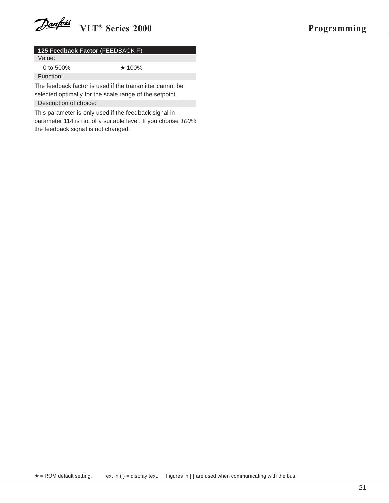### **125 Feedback Factor** (FEEDBACK F)

Value:

0 to 500% ★ 100%

Function:

The feedback factor is used if the transmitter cannot be selected optimally for the scale range of the setpoint.

Description of choice:

This parameter is only used if the feedback signal in parameter 114 is not of a suitable level. If you choose 100% the feedback signal is not changed.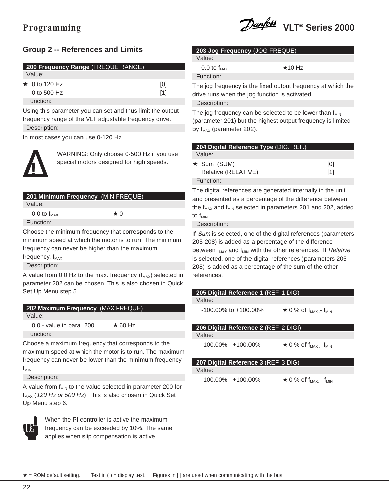## **Group 2 -- References and Limits**

| 200 Frequency Range (FREQUE RANGE) |     |
|------------------------------------|-----|
| Value:                             |     |
| $\star$ 0 to 120 Hz                | [0] |
| 0 to 500 $Hz$                      | [1] |

Function:

Using this parameter you can set and thus limit the output frequency range of the VLT adjustable frequency drive.

Description:

In most cases you can use 0-120 Hz.

![](_page_19_Picture_8.jpeg)

WARNING: Only choose 0-500 Hz if you use special motors designed for high speeds.

| 201 Minimum Frequency (MIN FREQUE)                    |           |  |
|-------------------------------------------------------|-----------|--|
| Value:                                                |           |  |
| $0.0$ to $f_{MAX}$                                    | $\star$ 0 |  |
| Function:                                             |           |  |
| Choose the minimum frequency that corresponds to the  |           |  |
| minimum speed at which the motor is to run. The minim |           |  |

inimum frequency can never be higher than the maximum frequency,  $f_{MAX}$ .

Description:

A value from 0.0 Hz to the max. frequency  $(f_{MAX})$  selected in parameter 202 can be chosen. This is also chosen in Quick Set Up Menu step 5.

| 202 Maximum Frequency (MAX FREQUE) |                                           |
|------------------------------------|-------------------------------------------|
| Value:                             |                                           |
|                                    | $\sim$ $\sim$ $\sim$ $\sim$ $\sim$ $\sim$ |

0.0 - value in para. 200  $\star$  60 Hz Function:

Choose a maximum frequency that corresponds to the maximum speed at which the motor is to run. The maximum frequency can never be lower than the minimum frequency,  $f_{MIN}$ .

Description:

A value from  $f_{MIN}$  to the value selected in parameter 200 for  $f_{MAX}$  (120 Hz or 500 Hz) This is also chosen in Quick Set Up Menu step 6.

![](_page_19_Picture_19.jpeg)

When the PI controller is active the maximum frequency can be exceeded by 10%. The same applies when slip compensation is active.

| 203 Jog Frequency (JOG FREQUE) |
|--------------------------------|
| 1/2!                           |

**Value** 

Function:

0.0 to  $f_{MAX}$   $\star$  10 Hz

The jog frequency is the fixed output frequency at which the drive runs when the jog function is activated.

Description:

The jog frequency can be selected to be lower than  $f_{MIN}$ (parameter 201) but the highest output frequency is limited by  $f_{MAX}$  (parameter 202).

| 204 Digital Reference Type (DIG. REF.) |     |
|----------------------------------------|-----|
| Value:                                 |     |
| $\star$ Sum (SUM)                      | [0] |
| Relative (RELATIVE)                    | [1] |
| Function:                              |     |

The digital references are generated internally in the unit and presented as a percentage of the difference between the  $f_{MAX}$  and  $f_{MIN}$  selected in parameters 201 and 202, added to  $f_{MIN}$ .

Description:

If Sum is selected, one of the digital references (parameters 205-208) is added as a percentage of the difference between  $f_{MAX}$  and  $f_{MIN}$  with the other references. If Relative is selected, one of the digital references )parameters 205- 208) is added as a percentage of the sum of the other references.

| 205 Digital Reference 1 (REF. 1 DIG)  |                                                    |
|---------------------------------------|----------------------------------------------------|
| Value:                                |                                                    |
| $-100.00\%$ to $+100.00\%$            | $\star$ 0 % of f <sub>MAX</sub> - f <sub>MIN</sub> |
| 206 Digital Reference 2 (REF. 2 DIGI) |                                                    |
| Value:                                |                                                    |
|                                       |                                                    |

**207 Digital Reference 3** (REF. 3 DIG)

Value:

 $-100.00\% - +100.00\%$   $\star$  0 % of f<sub>MAX.</sub> - f<sub>MIN</sub>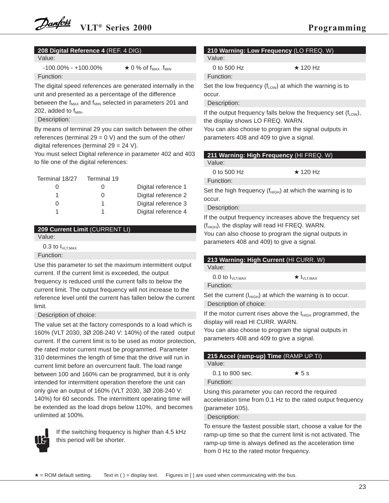| 208 Digital Reference 4 (REF. 4 DIG) |
|--------------------------------------|
|--------------------------------------|

Value:

 $-100.00\% - +100.00\%$   $\star$  0 % of  $f_{MAX}$ .  $f_{MIN}$ Function:

The digital speed references are generated internally in the unit and presented as a percentage of the difference between the  $f_{MAX}$  and  $f_{MIN}$  selected in parameters 201 and 202, added to  $f_{MIN}$ .

Description:

By means of terminal 29 you can switch between the other references (terminal  $29 = 0$  V) and the sum of the other/ digital references (terminal 29 = 24 V).

You must select Digital reference in parameter 402 and 403 to file one of the digital references:

| Terminal 18/27 | Terminal 19 |                     |
|----------------|-------------|---------------------|
|                |             | Digital reference 1 |
|                | 0           | Digital reference 2 |
|                |             | Digital reference 3 |
|                |             | Digital reference 4 |

### **209 Current Limit** (CURRENT LI)

Value:

0.3 to  $I_{VLT,MAX}$ 

### Function:

Use this parameter to set the maximum intermittent output current. If the current limit is exceeded, the output frequency is reduced until the current falls to below the current limit. The output frequency will not increase to the reference level until the current has fallen below the current limit.

### Description of choice:

The value set at the factory corresponds to a load which is 160% (VLT 2030, 3Ø 208-240 V: 140%) of the rated output current. If the current limit is to be used as motor protection, the rated motor current must be programmed. Parameter 310 determines the length of time that the drive will run in current limit before an overcurrent fault. The load range between 100 and 160% can be programmed, but it is only intended for intermittent operation therefore the unit can only give an output of 160% (VLT 2030, 3Ø 208-240 V: 140%) for 60 seconds. The intermittent operating time will be extended as the load drops below 110%, and becomes unlimited at 100%.

![](_page_20_Picture_17.jpeg)

If the switching frequency is higher than 4.5 kHz this period will be shorter.

### **210 Warning: Low Frequency** (LO FREQ. W) Value:

0 to 500 Hz  $\star$  120 Hz Function:

Set the low frequency  $(f_{Low})$  at which the warning is to occur.

Description:

If the output frequency falls below the frequency set  $(f<sub>Low</sub>)$ , the display shows LO FREQ. WARN.

You can also choose to program the signal outputs in parameters 408 and 409 to give a signal.

| 211 Warning: High Frequency (HI FREQ. W)                                |                |
|-------------------------------------------------------------------------|----------------|
| Value:                                                                  |                |
| 0 to 500 $Hz$                                                           | $\star$ 120 Hz |
| Function:                                                               |                |
| Set the high frequency ( $f_{\text{HIGH}}$ ) at which the warning is to |                |
| occur.                                                                  |                |

Description:

If the output frequency increases above the frequency set  $(f<sub>HIGH</sub>)$ , the display will read HI FREQ. WARN.

You can also choose to program the signal outputs in parameters 408 and 409) to give a signal.

| 213 Warning: High Current (HI CURR. W)                           |                               |  |
|------------------------------------------------------------------|-------------------------------|--|
| Value:                                                           |                               |  |
| $0.0$ to $I_{VLT,MAX}$                                           | $\star$ I <sub>VLT, MAX</sub> |  |
| Function:                                                        |                               |  |
| Set the current ( $I_{HIGH}$ ) at which the warning is to occur. |                               |  |
| Description of choice:                                           |                               |  |

If the motor current rises above the  $I_{HIGH}$  programmed, the display will read HI CURR. WARN.

You can also choose to program the signal outputs in parameters 408 and 409 to give a signal.

| 215 Accel (ramp-up) Time (RAMP UP TI)            |             |  |
|--------------------------------------------------|-------------|--|
| Value:                                           |             |  |
| $0.1$ to $800$ sec.                              | $\star$ 5 s |  |
| Function:                                        |             |  |
| Using this parameter you can record the required |             |  |

acceleration time from 0.1 Hz to the rated output frequency (parameter 105).

Description:

To ensure the fastest possible start, choose a value for the ramp-up time so that the current limit is not activated. The ramp-up time is always defined as the acceleration time from 0 Hz to the rated motor frequency.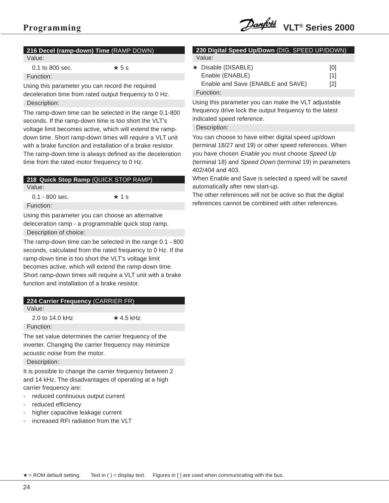# **216 Decel (ramp-down) Time** (RAMP DOWN)

Value:

0.1 to 800 sec.  $\star$  5 s

Function:

Using this parameter you can record the required deceleration time from rated output frequency to 0 Hz. Description:

The ramp-down time can be selected in the range 0.1-800 seconds. If the ramp-down time is too short the VLT's voltage limit becomes active, which will extend the rampdown time. Short ramp-down times will require a VLT unit with a brake function and installation of a brake resistor. The ramp-down time is always defined as the deceleration time from the rated motor frequency to 0 Hz.

| 218 Quick Stop Ramp (QUICK STOP RAMP) |             |
|---------------------------------------|-------------|
| Value:                                |             |
| $0.1 - 800$ sec.                      | $\star$ 1 s |

Function:

Using this parameter you can choose an alternative deleceration ramp - a programmable quick stop ramp.

Description of choice:

The ramp-down time can be selected in the range 0.1 - 800 seconds, calculated from the rated frequency to 0 Hz. If the ramp-down time is too short the VLT's voltage limit becomes active, which will extend the ramp-down time. Short ramp-down times will require a VLT unit with a brake function and installation of a brake resistor.

### **224 Carrier Frequency** (CARRIER FR)

Value:

2.0 to 14.0 kHz  $\star$  4.5 kHz

Function:

The set value determines the carrier frequency of the inverter. Changing the carrier frequency may minimize acoustic noise from the motor.

Description:

It is possible to change the carrier frequency between 2 and 14 kHz. The disadvantages of operating at a high carrier frequency are:

- reduced continuous output current
- reduced efficiency
- higher capacitive leakage current
- increased RFI radiation from the VLT

#### **230 Digital Speed Up/Down** (DIG. SPEED UP/DOWN) Value:

| $\star$ Disable (DISABLE)         | [0]               |
|-----------------------------------|-------------------|
| Enable (ENABLE)                   | [1]               |
| Enable and Save (ENABLE and SAVE) | $\lceil 2 \rceil$ |
| Function:                         |                   |

Using this parameter you can make the VLT adjustable frequency drive lock the output frequency to the latest indicated speed reference.

### Description:

You can choose to have either digital speed up/down (terminal 18/27 and 19) or other speed references. When you have chosen Enable you must choose Speed Up (terminal 18) and Speed Down (terminal 19) in parameters 402/404 and 403.

When Enable and Save is selected a speed will be saved automatically after new start-up.

The other references will not be active so that the digital references cannot be combined with other references.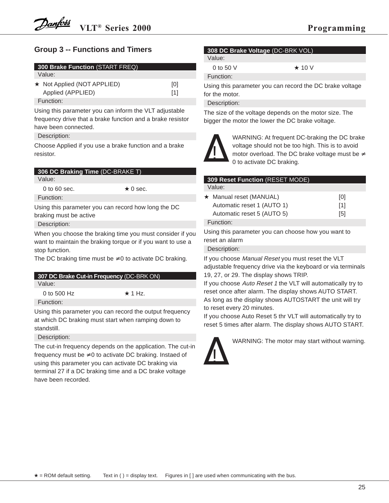### **Group 3 -- Functions and Timers**

| <b>300 Brake Function (START FREQ)</b> |     |
|----------------------------------------|-----|
| Value:                                 |     |
| $\star$ Not Applied (NOT APPLIED)      | [0] |
| Applied (APPLIED)                      | [1] |
| Function:                              |     |

Using this parameter you can inform the VLT adjustable frequency drive that a brake function and a brake resistor have been connected.

Description:

Choose Applied if you use a brake function and a brake resistor.

| 306 DC Braking Time (DC-BRAKE T) |  |
|----------------------------------|--|
|                                  |  |

Value:

0 to 60 sec.  $\star$  0 sec.

Function: Using this parameter you can record how long the DC

braking must be active

Description:

When you choose the braking time you must consider if you want to maintain the braking torque or if you want to use a stop function.

The DC braking time must be  $\neq 0$  to activate DC braking.

| 307 DC Brake Cut-in Frequency (DC-BRK ON) |               |  |
|-------------------------------------------|---------------|--|
| Value:                                    |               |  |
| 0 to 500 $Hz$                             | $\star$ 1 Hz. |  |
| Function:                                 |               |  |
|                                           |               |  |

Using this parameter you can record the output frequency at which DC braking must start when ramping down to standstill.

Description:

The cut-in frequency depends on the application. The cut-in frequency must be  $\neq 0$  to activate DC braking. Instaed of using this parameter you can activate DC braking via terminal 27 if a DC braking time and a DC brake voltage have been recorded.

### **308 DC Brake Voltage** (DC-BRK VOL)

Value:

Function:

0 to 50 V  $\star$  10 V

Using this parameter you can record the DC brake voltage for the motor.

Description:

The size of the voltage depends on the motor size. The bigger the motor the lower the DC brake voltage.

![](_page_22_Picture_27.jpeg)

WARNING: At frequent DC-braking the DC brake voltage should not be too high. This is to avoid motor overload. The DC brake voltage must be  $\neq$ 0 to activate DC braking.

### **309 Reset Function** (RESET MODE) Value: ★ Manual reset (MANUAL) [0] Automatic reset 1 (AUTO 1) [1] Automatic reset 5 (AUTO 5) [5] Function: Using this parameter you can choose how you want to

reset an alarm

Description:

If you choose Manual Reset you must reset the VLT adjustable frequency drive via the keyboard or via terminals 19, 27, or 29. The display shows TRIP.

If you choose Auto Reset 1 the VLT will automatically try to reset once after alarm. The display shows AUTO START. As long as the display shows AUTOSTART the unit will try to reset every 20 minutes.

If you choose Auto Reset 5 thr VLT will automatically try to reset 5 times after alarm. The display shows AUTO START.

![](_page_22_Picture_35.jpeg)

WARNING: The motor may start without warning.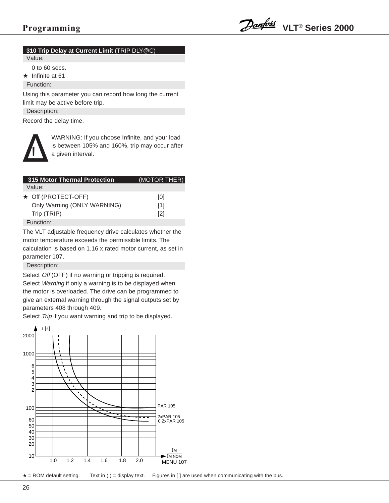### **310 Trip Delay at Current Limit** (TRIP DLY@C)

Value:

0 to 60 secs.

 $\star$  Infinite at 61

Function:

Using this parameter you can record how long the current limit may be active before trip.

Description:

Record the delay time.

![](_page_23_Picture_10.jpeg)

WARNING: If you choose Infinite, and your load is between 105% and 160%, trip may occur after a given interval.

| <b>315 Motor Thermal Protection</b> | (MOTOR THER)      |
|-------------------------------------|-------------------|
| Value:                              |                   |
| $\star$ Off (PROTECT-OFF)           | [0]               |
| Only Warning (ONLY WARNING)         | [1]               |
| Trip (TRIP)                         | $\lceil 2 \rceil$ |
| Function:                           |                   |

The VLT adjustable frequency drive calculates whether the motor temperature exceeds the permissible limits. The calculation is based on 1.16 x rated motor current, as set in parameter 107.

Description:

Select Off (OFF) if no warning or tripping is required. Select Warning if only a warning is to be displayed when the motor is overloaded. The drive can be programmed to give an external warning through the signal outputs set by parameters 408 through 409.

Select Trip if you want warning and trip to be displayed.

![](_page_23_Figure_17.jpeg)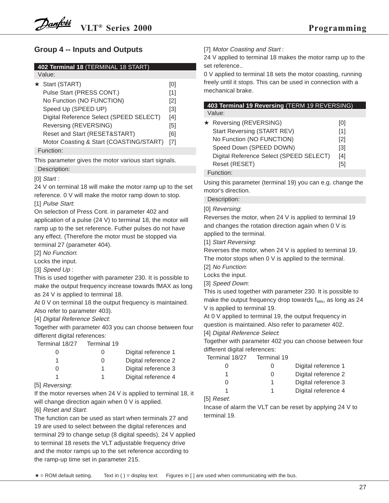### **Group 4 -- Inputs and Outputs**

### **402 Terminal 18** (TERMINAL 18 START)

Value:

| ★ Start (START)                         | וטו               |
|-----------------------------------------|-------------------|
| Pulse Start (PRESS CONT.)               | [1]               |
| No Function (NO FUNCTION)               | $\lceil 2 \rceil$ |
| Speed Up (SPEED UP)                     | [3]               |
| Digital Reference Select (SPEED SELECT) | [4]               |
| Reversing (REVERSING)                   | [5]               |
| Reset and Start (RESET&START)           | [6]               |
| Motor Coasting & Start (COASTING/START) | [7]               |
| Function:                               |                   |
|                                         |                   |

This parameter gives the motor various start signals.

Description:

[0] Start :

24 V on terminal 18 will make the motor ramp up to the set reference. 0 V will make the motor ramp down to stop.

[1] Pulse Start:

On selection of Press Cont. in parameter 402 and application of a pulse (24 V) to terminal 18, the motor will ramp up to the set reference. Futher pulses do not have any effect. (Therefore the motor must be stopped via terminal 27 (parameter 404).

[2] No Function:

Locks the input.

[3] Speed Up:

This is used together with parameter 230. It is possible to make the output frequency increase towards fMAX as long as 24 V is applied to terminal 18.

At 0 V on terminal 18 the output frequency is maintained. Also refer to parameter 403).

[4] Digital Reference Select:

Together with parameter 403 you can choose between four different digital references:

Terminal 18/27 Terminal 19

| 0 |   | Digital reference 1 |
|---|---|---------------------|
|   | 0 | Digital reference 2 |
| U |   | Digital reference 3 |
|   |   | Digital reference 4 |

### [5] Reversing:

If the motor reverses when 24 V is applied to terminal 18, it will change direction again when 0 V is applied.

[6] Reset and Start:

The function can be used as start when terminals 27 and 19 are used to select between the digital references and terminal 29 to change setup (8 digital speeds). 24 V applied to terminal 18 resets the VLT adjustable frequency drive and the motor ramps up to the set reference according to the ramp-up time set in parameter 215.

[7] Motor Coasting and Start:

24 V applied to terminal 18 makes the motor ramp up to the set reference..

0 V applied to terminal 18 sets the motor coasting, running freely until it stops. This can be used in connection with a mechanical brake.

| 403 Terminal 19 Reversing (TERM 19 REVERSING) |      |
|-----------------------------------------------|------|
| Value:                                        |      |
| L Dovorojna (DEVEDOINIO)                      | ro 1 |

| ★ Reversing (REVERSING)                 | [0]               |
|-----------------------------------------|-------------------|
| <b>Start Reversing (START REV)</b>      | [1]               |
| No Function (NO FUNCTION)               | $\lceil 2 \rceil$ |
| Speed Down (SPEED DOWN)                 | $\lceil 3 \rceil$ |
| Digital Reference Select (SPEED SELECT) | [4]               |
| Reset (RESET)                           | [5]               |
| Function:                               |                   |

Using this parameter (terminal 19) you can e.g. change the motor's direction.

Description:

[0] Reversing:

Reverses the motor, when 24 V is applied to terminal 19 and changes the rotation direction again when 0 V is applied to the terminal.

[1] Start Reversing:

Reverses the motor, when 24 V is applied to terminal 19. The motor stops when 0 V is applied to the terminal.

[2] No Function:

Locks the input.

[3] Speed Down:

This is used together with parameter 230. It is possible to make the output frequency drop towards  $f_{MIN}$ , as long as 24 V is applied to terminal 19.

At 0 V applied to terminal 19, the output frequency in question is maintained. Also refer to parameter 402. [4] Digital Reference Select:

Together with parameter 402 you can choose between four different digital references:

| Terminal 18/27 | Terminal 19      |                     |
|----------------|------------------|---------------------|
|                | $\left( \right)$ | Digital reference 1 |
|                | $\Omega$         | Digital reference 2 |
| O              |                  | Digital reference 3 |
|                |                  | Digital reference 4 |

[5] Reset:

Incase of alarm the VLT can be reset by applying 24 V to terminal 19.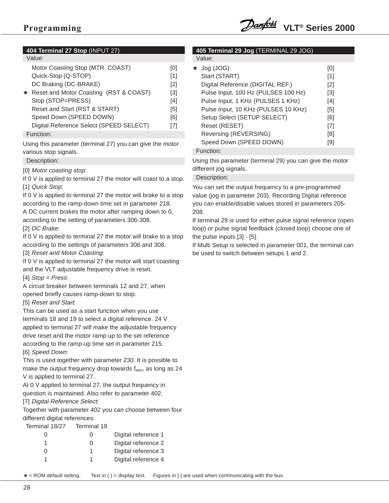![](_page_25_Picture_1.jpeg)

### **404 Terminal 27 Stop** (INPUT 27)

### Value:

| Motor Coasting Stop (MTR. COAST)         | וטו |
|------------------------------------------|-----|
| Quick-Stop (Q-STOP)                      | [1] |
| DC Braking (DC-BRAKE)                    | [2] |
| ★ Reset and Motor Coasting (RST & COAST) | [3] |
| Stop (STOP=PRESS)                        | [4] |
| Reset and Start (RST & START)            | [5] |
| Speed Down (SPEED DOWN)                  | [6] |
| Digital Reference Select (SPEED SELECT)  | [7] |
| Function:                                |     |

Using this parameter (terminal 27) you can give the motor various stop signals.

#### Description:

[0] Motor coasting stop:

If 0 V is applied to terminal 27 the motor will coast to a stop. [1] Quick Stop:

If 0 V is applied to terminal 27 the motor will brake to a stop according to the ramp-down time set in parameter 218.

A DC current brakes the motor after ramping down to 0, according to the setting of parameters 306-308.

#### [2] DC Brake:

If 0 V is applied to terminal 27 the motor will brake to a stop according to the settings of parameters 306 and 308.

[3] Reset and Motor Coasting:

If 0 V is applied to terminal 27 the motor will start coasting and the VLT adjustable frequency drive is reset.

[4]  $Stop = Press$ :

A circuit breaker between terminals 12 and 27, when opened briefly causes ramp-down to stop.

### [5] Reset and Start:

This can be used as a start function when you use terminals 18 and 19 to select a digital reference. 24 V applied to terminal 27 will make the adjustable frequency drive reset and the motor ramp up to the set reference according to the ramp-up time set in parameter 215. [6] Speed Down:

This is used together with parameter 230. It is possible to make the output frequency drop towards  $f_{MIN}$ , as long as 24 V is applied to terminal 27.

At 0 V applied to terminal 27, the output frequency in question is maintained. Also refer to parameter 402.

[7] Digital Reference Select:

Together with parameter 402 you can choose between four different digital references:

Terminal 18/27 Terminal 19

| 0 | 0 | Digital reference 1 |
|---|---|---------------------|
|   | O | Digital reference 2 |
| 0 |   | Digital reference 3 |
|   |   | Digital reference 4 |

Pulse Input, 100 Hz (PULSES 100 Hz) [3]  $Pulco Input 1 KHz / DIII CEC 1 KHz$  [4]

| PUISE INDUI, I KHZ (PULJEJ I KHZ)   | $1 + 1$ |
|-------------------------------------|---------|
| Pulse Input, 10 KHz (PULSES 10 KHz) | [5]     |
| Setup Select (SETUP SELECT)         | [6]     |
| Reset (RESET)                       | [7]     |
| Reversing (REVERSING)               | [8]     |
| Speed Down (SPEED DOWN)             | [9]     |

**405 Terminal 29 Jog** (TERMINAL 29 JOG)

 $\star$  Jog (JOG) [0] Start (START) [1] Digital Reference (DIGITAL REF.) [2]

Function:

Value:

Using this parameter (terminal 29) you can give the motor different jog signals.

### Description:

You can set the output frequency to a pre-programmed value (jog in parameter 203). Recording Digital reference you can enable/disable values stored in parameters 205- 208.

If terminal 29 is used for either pulse signal reference (open loop) or pulse signal feedback (closed loop) choose one of the pulse inputs [3] - [5].

If Multi Setup is selected in parameter 001, the terminal can be used to switch between setups 1 and 2.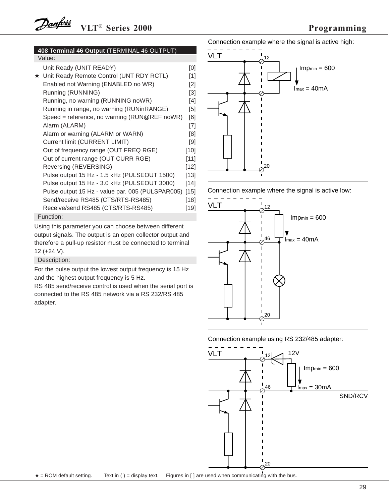#### **408 Terminal 46 Output** (TERMINAL 46 OUTPUT) Value:

| Unit Ready (UNIT READY)                          | [0]    |
|--------------------------------------------------|--------|
| ★ Unit Ready Remote Control (UNT RDY RCTL)       | [1]    |
| Enabled not Warning (ENABLED no WR)              | [2]    |
| Running (RUNNING)                                | [3]    |
| Running, no warning (RUNNING noWR)               | [4]    |
| Running in range, no warning (RUNinRANGE)        | [5]    |
| Speed = reference, no warning (RUN@REF noWR)     | [6]    |
| Alarm (ALARM)                                    | [7]    |
| Alarm or warning (ALARM or WARN)                 | [8]    |
| Current limit (CURRENT LIMIT)                    | [9]    |
| Out of frequency range (OUT FREQ RGE)            | [10]   |
| Out of current range (OUT CURR RGE)              | $[11]$ |
| Reversing (REVERSING)                            | $[12]$ |
| Pulse output 15 Hz - 1.5 kHz (PULSEOUT 1500)     | [13]   |
| Pulse output 15 Hz - 3.0 kHz (PULSEOUT 3000)     | [14]   |
| Pulse output 15 Hz - value par. 005 (PULSPAR005) | $[15]$ |
| Send/receive RS485 (CTS/RTS-RS485)               | [18]   |
| Receive/send RS485 (CTS/RTS-RS485)               | [19]   |
| Function:                                        |        |
|                                                  |        |

Using this parameter you can choose between different output signals. The output is an open collector output and therefore a pull-up resistor must be connected to terminal 12 (+24 V).

Description:

For the pulse output the lowest output frequency is 15 Hz and the highest output frequency is 5 Hz.

RS 485 send/receive control is used when the serial port is connected to the RS 485 network via a RS 232/RS 485 adapter.

Connection example where the signal is active high:

![](_page_26_Figure_9.jpeg)

Connection example where the signal is active low:

![](_page_26_Figure_11.jpeg)

Connection example using RS 232/485 adapter:

![](_page_26_Figure_13.jpeg)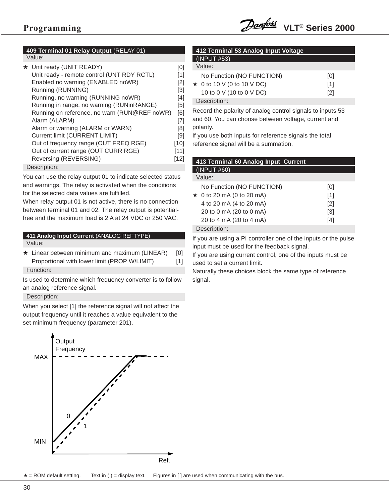**409 Terminal 01 Relay Output** (RELAY 01) Value:

Description:

You can use the relay output 01 to indicate selected status and warnings. The relay is activated when the conditions for the selected data values are fulfilled.

When relay output 01 is not active, there is no connection between terminal 01 and 02. The relay output is potentialfree and the maximum load is 2 A at 24 VDC or 250 VAC.

### **411 Analog Input Current** (ANALOG REFTYPE) Value:

 $\star$  Linear between minimum and maximum (LINEAR) [0] Proportional with lower limit (PROP W/LIMIT) [1] Function:

Is used to determine which frequency converter is to follow an analog reference signal.

Description:

When you select [1] the reference signal will not affect the output frequency until it reaches a value equivalent to the set minimum frequency (parameter 201).

![](_page_27_Figure_12.jpeg)

| 412 Terminal 53 Analog Input Voltage |                                  |     |  |
|--------------------------------------|----------------------------------|-----|--|
| (INPUT #53)                          |                                  |     |  |
|                                      | Value:                           |     |  |
|                                      | No Function (NO FUNCTION)        | [0] |  |
|                                      | $\star$ 0 to 10 V (0 to 10 V DC) | [1] |  |
|                                      | 10 to 0 V (10 to 0 V DC)         | [2] |  |
|                                      | Description:                     |     |  |
|                                      |                                  |     |  |

Record the polarity of analog control signals to inputs 53 and 60. You can choose between voltage, current and polarity.

If you use both inputs for reference signals the total reference signal will be a summation.

| 413 Terminal 60 Analog Input Current |                   |  |
|--------------------------------------|-------------------|--|
| (INPUT #60)                          |                   |  |
| Value:                               |                   |  |
| No Function (NO FUNCTION)            | [0]               |  |
| $\star$ 0 to 20 mA (0 to 20 mA)      | [1]               |  |
| 4 to 20 mA (4 to 20 mA)              | $\lceil 2 \rceil$ |  |
| 20 to 0 mA (20 to 0 mA)              | $\lceil 3 \rceil$ |  |
| 20 to 4 mA (20 to 4 mA)              | 14 I              |  |

Description:

If you are using a PI controller one of the inputs or the pulse input must be used for the feedback signal.

If you are using current control, one of the inputs must be used to set a current limit.

Naturally these choices block the same type of reference signal.

 $\star$  = ROM default setting. Text in ( ) = display text. Figures in [ ] are used when communicating with the bus.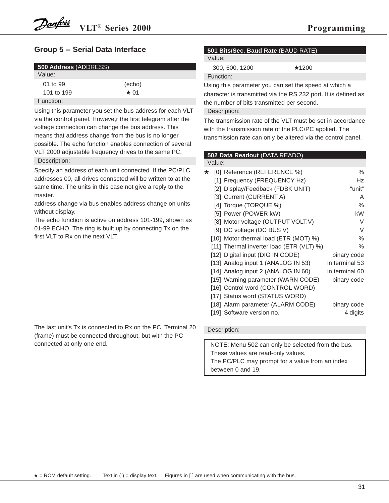### **Group 5 -- Serial Data Interface**

| <b>500 Address (ADDRESS)</b> |            |  |
|------------------------------|------------|--|
| Value:                       |            |  |
| 01 to 99                     | (echo)     |  |
| 101 to 199                   | $\star$ 01 |  |
| Function:                    |            |  |

Using this parameter you set the bus address for each VLT via the control panel. Howeve,r the first telegram after the voltage connection can change the bus address. This means that address change from the bus is no longer possible. The echo function enables connection of several VLT 2000 adjustable frequency drives to the same PC. Description:

Specify an address of each unit connected. If the PC/PLC addresses 00, all drives connscted will be written to at the same time. The units in this case not give a reply to the master.

address change via bus enables address change on units without display.

The echo function is active on address 101-199, shown as 01-99 ECHO. The ring is built up by connecting Tx on the first VLT to Rx on the next VLT.

The last unit's Tx is connected to Rx on the PC. Terminal 20 (frame) must be connected throughout, but with the PC connected at only one end.

### **501 Bits/Sec. Baud Rate** (BAUD RATE)

Value:

| 300, 600, 1200 | $\star$ 1200 |
|----------------|--------------|
| Function:      |              |

Using this parameter you can set the speed at which a character is transmitted via the RS 232 port. It is defined as the number of bits transmitted per second.

### Description:

The transmission rate of the VLT must be set in accordance with the transmission rate of the PLC/PC applied. The transmission rate can only be altered via the control panel.

### **502 Data Readout** (DATA READO)

Value:

| * | [0] Reference (REFERENCE %)              | $\%$           |
|---|------------------------------------------|----------------|
|   | [1] Frequency (FREQUENCY Hz)             | Hz             |
|   | [2] Display/Feedback (FDBK UNIT)         | "unit"         |
|   | [3] Current (CURRENT A)                  | Α              |
|   | [4] Torque (TORQUE %)                    | %              |
|   | [5] Power (POWER kW)                     | kW             |
|   | [8] Motor voltage (OUTPUT VOLT.V)        | V              |
|   | [9] DC voltage (DC BUS V)                | V              |
|   | [10] Motor thermal load (ETR (MOT) %)    | %              |
|   | [11] Thermal inverter load (ETR (VLT) %) | %              |
|   | [12] Digital input (DIG IN CODE)         | binary code    |
|   | [13] Analog input 1 (ANALOG IN 53)       | in terminal 53 |
|   | [14] Analog input 2 (ANALOG IN 60)       | in terminal 60 |
|   | [15] Warning parameter (WARN CODE)       | binary code    |
|   | [16] Control word (CONTROL WORD)         |                |
|   | [17] Status word (STATUS WORD)           |                |
|   | [18] Alarm parameter (ALARM CODE)        | binary code    |
|   | [19] Software version no.                | 4 digits       |

### Description:

NOTE: Menu 502 can only be selected from the bus. These values are read-only values. The PC/PLC may prompt for a value from an index between 0 and 19.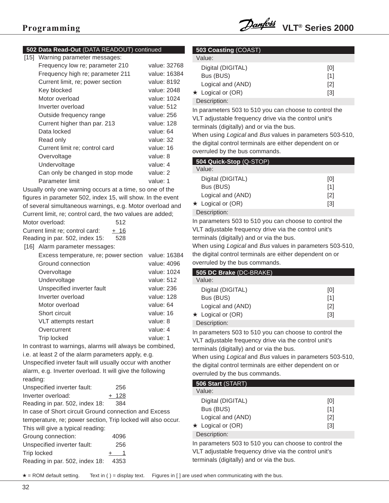![](_page_29_Picture_1.jpeg)

### **502 Data Read-Out** (DATA READOUT) continued

| [15] | Warning parameter messages:      |              |
|------|----------------------------------|--------------|
|      | Frequency low re; parameter 210  | value: 32768 |
|      | Frequency high re; parameter 211 | value: 16384 |
|      | Current limit, re; power section | value: 8192  |
|      | Key blocked                      | value: 2048  |
|      | Motor overload                   | value: 1024  |
|      | Inverter overload                | value: 512   |
|      | Outside frequency range          | value: 256   |
|      | Current higher than par. 213     | value: 128   |
|      | Data locked                      | value: 64    |
|      | Read only                        | value: 32    |
|      | Current limit re; control card   | value: 16    |
|      | Overvoltage                      | value: 8     |
|      | Undervoltage                     | value: 4     |
|      | Can only be changed in stop mode | value: 2     |
|      | Parameter limit                  | value: 1     |
|      |                                  |              |

Usually only one warning occurs at a time, so one of the figures in parameter 502, index 15, will show. In the event of several simultaneous warnings, e.g. Motor overload and Current limit, re; control card, the two values are added;

| Motor overload:                 | 512  |
|---------------------------------|------|
| Current limit re: control card: | + 16 |
| Reading in par. 502, index 15:  | 528  |

[16] Alarm parameter messages:

| Excess temperature, re; power section | value: 16384 |
|---------------------------------------|--------------|
| Ground connection                     | value: 4096  |
| Overvoltage                           | value: 1024  |
| Undervoltage                          | value: 512   |
| Unspecified inverter fault            | value: 236   |
| Inverter overload                     | value: 128   |
| Motor overload                        | value: 64    |
| Short circuit                         | value: 16    |
| VLT attempts restart                  | value: 8     |
| Overcurrent                           | value: 4     |
| Trip locked                           | value: 1     |
|                                       |              |

In contrast to warnings, alarms will always be combined, i.e. at least 2 of the alarm parameters apply, e.g.

Unspecified inveter fault will usually occur with another alarm, e.g. Inverter overload. It will give the following reading:

| Unspecified inverter fault:                                  | 256   |
|--------------------------------------------------------------|-------|
| Inverter overload:                                           | + 128 |
| Reading in par. 502, index 18:                               | 384   |
| In case of Short circuit Ground connection and Excess        |       |
| temperature, re; power section, Trip locked will also occur. |       |
| This will give a typical reading:                            |       |
| Groung connection:                                           | 4096  |
| Unspecified inverter fault:                                  | 256   |
| Trip locked                                                  |       |
|                                                              |       |

Reading in par. 502, index 18: 4353

### **503 Coasting** (COAST)

| Value:       |                         |                   |
|--------------|-------------------------|-------------------|
|              | Digital (DIGITAL)       | [0]               |
|              | Bus (BUS)               | [1]               |
|              | Logical and (AND)       | $\lceil 2 \rceil$ |
|              | $\star$ Logical or (OR) | [3]               |
| Description: |                         |                   |

In parameters 503 to 510 you can choose to control the VLT adjustable frequency drive via the control unit's terminals (digitally) and or via the bus.

When using *Logical* and *Bus* values in parameters 503-510, the digital control terminals are either dependent on or overruled by the bus commands.

### **504 Quick-Stop** (Q-STOP) Value: Digital (DIGITAL) [0] Bus (BUS) [1] Logical and (AND) [2]  $\star$  Logical or (OR) [3]

Description:

In parameters 503 to 510 you can choose to control the VLT adjustable frequency drive via the control unit's terminals (digitally) and or via the bus.

When using *Logical* and *Bus* values in parameters 503-510, the digital control terminals are either dependent on or overruled by the bus commands.

| 505 DC Brake (DC-BRAKE) |     |  |
|-------------------------|-----|--|
| Value:                  |     |  |
| Digital (DIGITAL)       | [0] |  |
| Bus (BUS)               | [1] |  |
| Logical and (AND)       | [2] |  |
| $\star$ Logical or (OR) | [3] |  |
| Description:            |     |  |

In parameters 503 to 510 you can choose to control the VLT adjustable frequency drive via the control unit's terminals (digitally) and or via the bus.

When using *Logical* and *Bus* values in parameters 503-510, the digital control terminals are either dependent on or overruled by the bus commands.

| 506 Start (START)       |                   |  |
|-------------------------|-------------------|--|
| Value:                  |                   |  |
| Digital (DIGITAL)       | [0]               |  |
| Bus (BUS)               | [1]               |  |
| Logical and (AND)       | $\lceil 2 \rceil$ |  |
| $\star$ Logical or (OR) | [3]               |  |
| Description:            |                   |  |

In parameters 503 to 510 you can choose to control the VLT adjustable frequency drive via the control unit's terminals (digitally) and or via the bus.

 $\star$  = ROM default setting. Text in ( ) = display text. Figures in [ ] are used when communicating with the bus.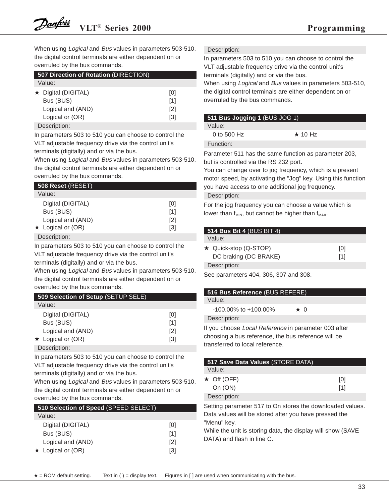When using *Logical* and Bus values in parameters 503-510, the digital control terminals are either dependent on or overruled by the bus commands.

| 507 Direction of Rotation (DIRECTION) |                   |  |  |
|---------------------------------------|-------------------|--|--|
| Value:                                |                   |  |  |
| ★ Digital (DIGITAL)                   | [0]               |  |  |
| Bus (BUS)                             | [1]               |  |  |
| Logical and (AND)                     | $\lceil 2 \rceil$ |  |  |
| Logical or (OR)                       | [3]               |  |  |
| — <u>—</u>                            |                   |  |  |

#### Description:

In parameters 503 to 510 you can choose to control the VLT adjustable frequency drive via the control unit's terminals (digitally) and or via the bus.

When using *Logical* and Bus values in parameters 503-510, the digital control terminals are either dependent on or overruled by the bus commands.

| 508 Reset (RESET)       |                   |
|-------------------------|-------------------|
| Value:                  |                   |
| Digital (DIGITAL)       | [0]               |
| Bus (BUS)               | [1]               |
| Logical and (AND)       | $\lceil 2 \rceil$ |
| $\star$ Logical or (OR) | [3]               |
| Deccription:            |                   |

#### Description:

In parameters 503 to 510 you can choose to control the VLT adjustable frequency drive via the control unit's terminals (digitally) and or via the bus.

When using *Logical* and *Bus* values in parameters 503-510, the digital control terminals are either dependent on or overruled by the bus commands.

| 509 Selection of Setup (SETUP SELE) |     |  |  |
|-------------------------------------|-----|--|--|
| Value:                              |     |  |  |
| Digital (DIGITAL)                   | [0] |  |  |
| Bus (BUS)                           | [1] |  |  |
| Logical and (AND)                   | [2] |  |  |
| $\star$ Logical or (OR)             | [3] |  |  |
| Docorintion:                        |     |  |  |

Description:

In parameters 503 to 510 you can choose to control the VLT adjustable frequency drive via the control unit's terminals (digitally) and or via the bus.

When using *Logical* and *Bus* values in parameters 503-510, the digital control terminals are either dependent on or overruled by the bus commands.

| 510 Selection of Speed (SPEED SELECT) |                   |  |  |
|---------------------------------------|-------------------|--|--|
| Value:                                |                   |  |  |
| Digital (DIGITAL)                     | [0]               |  |  |
| Bus (BUS)                             | [1]               |  |  |
| Logical and (AND)                     | $\lceil 2 \rceil$ |  |  |
| $\star$ Logical or (OR)               | [3]               |  |  |

Description:

In parameters 503 to 510 you can choose to control the VLT adjustable frequency drive via the control unit's terminals (digitally) and or via the bus.

When using *Logical* and *Bus* values in parameters 503-510, the digital control terminals are either dependent on or overruled by the bus commands.

### **511 Bus Jogging 1** (BUS JOG 1)

Value:

0 to 500 Hz  $\star$  10 Hz

Function:

Parameter 511 has the same function as parameter 203, but is controlled via the RS 232 port.

You can change over to jog frequency, which is a present motor speed, by activating the "Jog" key. Using this function you have access to one additional jog frequency.

#### Description:

For the jog frequency you can choose a value which is lower than  $f_{MIN}$ , but cannot be higher than  $f_{MAX}$ .

| <b>514 Bus Bit 4 (BUS BIT 4)</b> |     |
|----------------------------------|-----|
| Value:                           |     |
| ★ Quick-stop (Q-STOP)            | [0] |
| DC braking (DC BRAKE)            | [1] |
| Description:                     |     |

See parameters 404, 306, 307 and 308.

#### **516 Bus Reference** (BUS REFERE) Value:

| $-100.00\%$ to $+100.00\%$ | $\star$ 0 |  |
|----------------------------|-----------|--|

Description:

If you choose Local Reference in parameter 003 after choosing a bus reference, the bus reference will be transferred to local reference.

| 517 Save Data Values (STORE DATA) |     |
|-----------------------------------|-----|
| Value:                            |     |
| $\star$ Off (OFF)                 | [0] |
| On $(ON)$                         | [1] |
| Description:                      |     |
|                                   |     |

Setting parameter 517 to On stores the downloaded values. Data values will be stored after you have pressed the "Menu" key.

While the unit is storing data, the display will show (SAVE DATA) and flash in line C.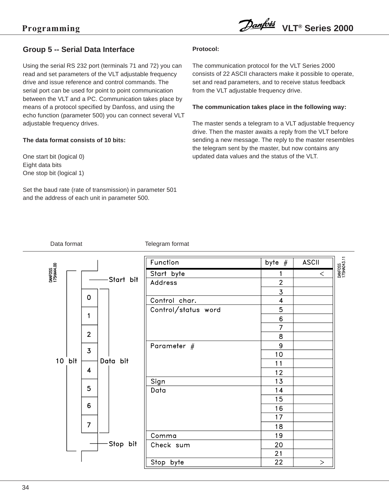### **Group 5 -- Serial Data Interface**

Using the serial RS 232 port (terminals 71 and 72) you can read and set parameters of the VLT adjustable frequency drive and issue reference and control commands. The serial port can be used for point to point communication between the VLT and a PC. Communication takes place by means of a protocol specified by Danfoss, and using the echo function (parameter 500) you can connect several VLT adjustable frequency drives.

### **The data format consists of 10 bits:**

One start bit (logical 0) Eight data bits One stop bit (logical 1)

Set the baud rate (rate of transmission) in parameter 501 and the address of each unit in parameter 500.

### **Protocol:**

The communication protocol for the VLT Series 2000 consists of 22 ASCII characters make it possible to operate, set and read parameters, and to receive status feedback from the VLT adjustable frequency drive.

### **The communication takes place in the following way:**

The master sends a telegram to a VLT adjustable frequency drive. Then the master awaits a reply from the VLT before sending a new message. The reply to the master resembles the telegram sent by the master, but now contains any updated data values and the status of the VLT.

Data format Telegram format

|                       |                         |            | Function            | byte $#$                | <b>ASCII</b> |
|-----------------------|-------------------------|------------|---------------------|-------------------------|--------------|
| DANFOSS<br>175HA44.00 |                         |            | Start byte          |                         | $\,<$        |
|                       |                         | -Start bit | Address             | $\overline{2}$          |              |
|                       | $\mathbf 0$             |            |                     | $\overline{3}$          |              |
|                       |                         |            | Control char.       | $\overline{\mathbf{4}}$ |              |
|                       | $\mathbf{1}$            |            | Control/status word | 5                       |              |
|                       |                         |            |                     | $6\phantom{a}$          |              |
|                       | $\overline{2}$          |            |                     | 7                       |              |
|                       |                         |            |                     | 8                       |              |
|                       | $\overline{3}$          |            | Parameter $#$       | 9                       |              |
| 10 bit                | Data bit                |            | 10<br>11            |                         |              |
|                       | $\overline{\mathbf{4}}$ |            |                     |                         |              |
|                       |                         |            |                     | 12<br>13                |              |
|                       | 5                       |            | Sign                | 14                      |              |
|                       |                         |            | Data                | 15                      |              |
|                       | 6                       |            |                     | 16                      |              |
|                       |                         |            |                     | 17                      |              |
|                       | $\overline{7}$          |            |                     | 18                      |              |
|                       |                         |            | Comma               | 19                      |              |
|                       |                         | Stop bit   | Check sum           | 20                      |              |
|                       |                         |            |                     | 21                      |              |
|                       |                         |            | Stop byte           | 22                      | >            |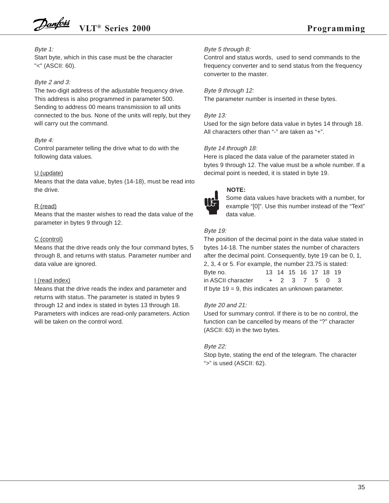### Byte 1:

Start byte, which in this case must be the character "<" (ASCII: 60).

### Byte 2 and 3:

The two-digit address of the adjustable frequency drive. This address is also programmed in parameter 500. Sending to address 00 means transmission to all units connected to the bus. None of the units will reply, but they will carry out the command.

### Byte 4:

Control parameter telling the drive what to do with the following data values.

### U (update)

Means that the data value, bytes (14-18), must be read into the drive.

### R (read)

Means that the master wishes to read the data value of the parameter in bytes 9 through 12.

### C (control)

Means that the drive reads only the four command bytes, 5 through 8, and returns with status. Parameter number and data value are ignored.

### I (read index)

Means that the drive reads the index and parameter and returns with status. The parameter is stated in bytes 9 through 12 and index is stated in bytes 13 through 18. Parameters with indices are read-only parameters. Action will be taken on the control word.

### Byte 5 through 8:

Control and status words, used to send commands to the frequency converter and to send status from the frequency converter to the master.

Byte 9 through 12: The parameter number is inserted in these bytes.

### Byte 13:

Used for the sign before data value in bytes 14 through 18. All characters other than "-" are taken as "+".

### Byte 14 through 18:

Here is placed the data value of the parameter stated in bytes 9 through 12. The value must be a whole number. If a decimal point is needed, it is stated in byte 19.

![](_page_32_Picture_23.jpeg)

### **NOTE:**

Some data values have brackets with a number, for example "[0]". Use this number instead of the "Text" data value.

### Byte 19:

The position of the decimal point in the data value stated in bytes 14-18. The number states the number of characters after the decimal point. Consequently, byte 19 can be 0, 1, 2, 3, 4 or 5. For example, the number 23.75 is stated: Byte no. 13 14 15 16 17 18 19 in ASCII character  $+ 2 3 7 5 0 3$ If byte  $19 = 9$ , this indicates an unknown parameter.

### Byte 20 and 21:

Used for summary control. If there is to be no control, the function can be cancelled by means of the "?" character (ASCII: 63) in the two bytes.

### Byte 22:

Stop byte, stating the end of the telegram. The character ">" is used (ASCII: 62).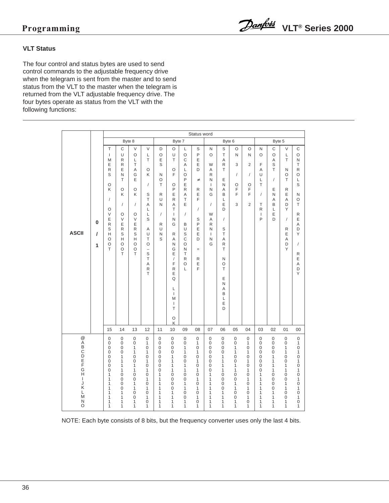### **VLT Status**

The four control and status bytes are used to send control commands to the adjustable frequency drive when the telegram is sent from the master and to send status from the VLT to the master when the telegram is returned from the VLT adjustable frequency drive. The four bytes operate as status from the VLT with the following functions:

|                                                         |                    |                                                                                                                                                                                |                                                                                                                                                                                      |                                                                                                                                                                                                                      |                                                                                                                                                            |                                                                                                                                                                              |                                                                                                                                                                                                                              |                                                                                                                                                                                         | Status word                                                                                                                                                               |                                                                                                                                                                                     |                                                                                                                                                                     |                                                                                                                            |                                                                                                               |                                                                                         |                                                                                                                                                                    |                                                                                            |                                                                                                                                                                                                                                      |
|---------------------------------------------------------|--------------------|--------------------------------------------------------------------------------------------------------------------------------------------------------------------------------|--------------------------------------------------------------------------------------------------------------------------------------------------------------------------------------|----------------------------------------------------------------------------------------------------------------------------------------------------------------------------------------------------------------------|------------------------------------------------------------------------------------------------------------------------------------------------------------|------------------------------------------------------------------------------------------------------------------------------------------------------------------------------|------------------------------------------------------------------------------------------------------------------------------------------------------------------------------------------------------------------------------|-----------------------------------------------------------------------------------------------------------------------------------------------------------------------------------------|---------------------------------------------------------------------------------------------------------------------------------------------------------------------------|-------------------------------------------------------------------------------------------------------------------------------------------------------------------------------------|---------------------------------------------------------------------------------------------------------------------------------------------------------------------|----------------------------------------------------------------------------------------------------------------------------|---------------------------------------------------------------------------------------------------------------|-----------------------------------------------------------------------------------------|--------------------------------------------------------------------------------------------------------------------------------------------------------------------|--------------------------------------------------------------------------------------------|--------------------------------------------------------------------------------------------------------------------------------------------------------------------------------------------------------------------------------------|
|                                                         |                    |                                                                                                                                                                                |                                                                                                                                                                                      | Byte 8                                                                                                                                                                                                               |                                                                                                                                                            |                                                                                                                                                                              | Byte 7                                                                                                                                                                                                                       |                                                                                                                                                                                         |                                                                                                                                                                           |                                                                                                                                                                                     | Byte 6                                                                                                                                                              |                                                                                                                            |                                                                                                               |                                                                                         | Byte 5                                                                                                                                                             |                                                                                            |                                                                                                                                                                                                                                      |
| <b>ASCII</b>                                            | 0<br>$\prime$<br>1 | T<br>$\overline{1}$<br>M<br>E<br>R<br>S<br>O<br>Κ<br>$\sqrt{2}$<br>O<br>V<br>E<br>R<br>$\mathsf S$<br>H<br>$\circ$<br>O<br>T                                                   | C<br>U<br>R<br>$\mathsf{R}$<br>E<br>N<br>T<br>O<br>Κ<br>$\overline{1}$<br>O<br>$\vee$<br>E<br>${\sf R}$<br>S<br>H<br>O<br>O<br>T                                                     | $\vee$<br>$\circ$<br>Г<br>T<br>A<br>G<br>E<br>O<br>Κ<br>$\sqrt{ }$<br>O<br>V<br>E<br>R<br>S<br>H<br>O<br>O<br>T                                                                                                      | V<br>L<br>T<br>$\circ$<br>K<br>$\sqrt{2}$<br>S<br>T<br>A<br>L<br>L<br>S<br>Α<br>U<br>T<br>$\circ$<br>$\qquad \qquad -$<br>S<br>T<br>Α<br>$\mathsf{R}$<br>T | D<br>$\circ$<br>E<br>S<br>N<br>$\circ$<br>T<br>R<br>U<br>N<br>$\sqrt{ }$<br>R<br>U<br>N<br>S                                                                                 | O<br>U<br>T<br>O<br>E<br>O<br>P<br>E<br>R<br>A<br>T<br>$\mathbf{I}$<br>N<br>G<br>$\mathsf{R}$<br>Α<br>N<br>G<br>E<br>$\sqrt{2}$<br>F<br>${\sf R}$<br>E<br>Q<br>Г<br>$\mathbf{I}$<br>M<br>$\mathbf{I}$<br>T<br>O<br>K         | Г<br>$\circ$<br>C<br>$\overline{A}$<br>L<br>$\circ$<br>P<br>E<br>$\mathsf{R}$<br>Α<br>T<br>E<br>$\sqrt{ }$<br>В<br>U<br>S<br>$\mathsf{C}$<br>$\circ$<br>N<br>T<br>R<br>O<br>L           | S<br>P<br>E<br>E<br>D<br>$\neq$<br>$\mathsf{R}$<br>E<br>F<br>$\sqrt{2}$<br>S<br>P<br>E<br>E<br>D<br>$\equiv$<br>R<br>E<br>F                                               | N<br>$\circ$<br>W<br>A<br>$\mathsf{R}$<br>N<br>$\mathbf{I}$<br>$\mathsf{N}$<br>G<br>$\sqrt{2}$<br>W<br>Α<br>R<br>N<br>$\mathbf{I}$<br>N<br>G                                        | $\mathsf S$<br>$\top$<br>Α<br>R.<br>T.<br>E<br>N<br>Α<br>B<br>L<br>E<br>D<br>$\sqrt{2}$<br>S<br>T.<br>A<br>R<br>T<br>N<br>O<br>T<br>E<br>N<br>Α<br>B<br>L<br>E<br>D | $\circ$<br>N<br>3<br>$\sqrt{\phantom{a}}$<br>O<br>F<br>F<br>3                                                              | O<br>N<br>2<br>$\sqrt{2}$<br>O<br>F<br>F<br>$\overline{2}$                                                    | N<br>O<br>F<br>A<br>U<br>L<br>T<br>$\sqrt{2}$<br>T<br>$\mathsf{R}$<br>$\mathbf{I}$<br>P | C<br>O<br>Α<br>S<br>T<br>$\sqrt{ }$<br>E<br>N<br>A<br>B<br>L<br>E<br>D                                                                                             | V<br>Г<br>T<br>N<br>O<br>T<br>R<br>E<br>A<br>D<br>Y<br>$\sqrt{ }$<br>R<br>E<br>Α<br>D<br>Υ | $\mathsf C$<br>$\circ$<br>N<br>T<br>R<br>O<br>Г<br>S<br>Ν<br>O<br>T<br>R<br>E<br>Α<br>D<br>Y<br>$\sqrt{2}$<br>R<br>E<br>Α<br>D<br>Y                                                                                                  |
|                                                         |                    | 15                                                                                                                                                                             | 14                                                                                                                                                                                   | 13                                                                                                                                                                                                                   | 12                                                                                                                                                         | 11                                                                                                                                                                           | 10                                                                                                                                                                                                                           | 09                                                                                                                                                                                      | 08                                                                                                                                                                        | 07                                                                                                                                                                                  | 06                                                                                                                                                                  | 05                                                                                                                         | 04                                                                                                            | 03                                                                                      | 02                                                                                                                                                                 | 01                                                                                         | 00                                                                                                                                                                                                                                   |
| @ABCDEFGH<br>$\mathbf{I}$<br>J<br>Κ<br>L<br>M<br>N<br>O |                    | $\mathbf 0$<br>$\mathbf 0$<br>$\overline{0}$<br>$\overline{0}$<br>0<br>$\mathbf 0$<br>$\mathbf 0$<br>$\mathbf 0$<br>1<br>1<br>1<br>$\mathbf{1}$<br>$\mathbf{1}$<br>1<br>1<br>1 | $\mathbf 0$<br>$\mathbf 0$<br>$\mathbf 0$<br>$\mathbf 0$<br>$\mathbf{1}$<br>1<br>$\mathbf{1}$<br>$\mathbf{1}$<br>0<br>0<br>$\mathbf 0$<br>$\mathbf 0$<br>$\mathbf{1}$<br>1<br>1<br>1 | $\mathbf 0$<br>$\mathbf 0$<br>$\mathbf{1}$<br>$\mathbf{1}$<br>$\mathbf 0$<br>$\mathbf 0$<br>$\mathbf{1}$<br>$\mathbf{1}$<br>$\mathbf 0$<br>$\mathbf 0$<br>$\mathbf{1}$<br>$\mathbf{1}$<br>$\mathbf 0$<br>0<br>1<br>1 | 0<br>1<br>0<br>$\mathbf{1}$<br>0<br>1<br>0<br>1<br>0<br>1<br>0<br>1<br>0<br>$\mathbf{1}$<br>0<br>1                                                         | 0<br>0<br>$\mathbf 0$<br>$\overline{0}$<br>$\mathsf 0$<br>$\mathbf 0$<br>$\mathbf 0$<br>$\mathbf 0$<br>1<br>$\mathbf{1}$<br>1<br>$\mathbf{1}$<br>$\mathbf{1}$<br>1<br>1<br>1 | $\boldsymbol{0}$<br>$\boldsymbol{0}$<br>$\mathsf 0$<br>$\overline{0}$<br>$\mathbf{1}$<br>$\mathbf{1}$<br>$\mathbf{1}$<br>$\mathbf{1}$<br>0<br>$\overline{0}$<br>$\mathbf 0$<br>$\overline{0}$<br>$\mathbf{1}$<br>1<br>1<br>1 | $\mathbf{0}$<br>$\mathbf 0$<br>$\mathbf{1}$<br>1<br>$\mathbf 0$<br>$\mathbf 0$<br>1<br>1<br>0<br>$\overline{0}$<br>$\mathbf{1}$<br>1<br>$\mathbf 0$<br>$\mathbf 0$<br>$\mathbf{1}$<br>1 | 0<br>$\mathbf{1}$<br>$\mathsf 0$<br>1<br>$\mathbf 0$<br>1<br>$\mathbf 0$<br>1<br>$\mathbf 0$<br>1<br>$\mathbf 0$<br>$\mathbf{1}$<br>$\mathbf 0$<br>1<br>0<br>$\mathbf{1}$ | $\mathbf 0$<br>0<br>$\mathsf 0$<br>$\mathbf 0$<br>$\mathbf 0$<br>$\mathbf 0$<br>$\mathbf 0$<br>$\mathbf 0$<br>1<br>$\mathbf{1}$<br>$\mathbf{1}$<br>$\mathbf{1}$<br>1<br>1<br>1<br>1 | $\mathbf{0}$<br>0<br>$\boldsymbol{0}$<br>0<br>1<br>1<br>1<br>1<br>0<br>$\mathbf 0$<br>$\mathbf 0$<br>$\mathbf 0$<br>$\mathbf{1}$<br>1<br>1<br>1                     | $\mathbf{0}$<br>0<br>$\mathbf{1}$<br>1<br>0<br>0<br>1<br>1<br>0<br>$\overline{0}$<br>$\mathbf{1}$<br>1<br>0<br>0<br>1<br>1 | 0<br>1<br>0<br>$\mathbf{1}$<br>0<br>1<br>0<br>1<br>0<br>$\mathbf{1}$<br>0<br>$\mathbf{1}$<br>0<br>1<br>0<br>1 | $\mathbf{0}$<br>0<br>0<br>0<br>0<br>0<br>0<br>0<br>1<br>1<br>1<br>1<br>1<br>1<br>1<br>1 | $\boldsymbol{0}$<br>$\boldsymbol{0}$<br>0<br>$\overline{0}$<br>1<br>1<br>1<br>1<br>$\mathbf 0$<br>$\overline{0}$<br>$\mathbf 0$<br>$\mathbf 0$<br>1<br>1<br>1<br>1 | 0<br>0<br>1<br>1<br>0<br>0<br>1<br>1<br>0<br>$\overline{0}$<br>1<br>1<br>0<br>0<br>1<br>1  | 0<br>$\mathbf{1}$<br>$\mathsf 0$<br>$\mathbf{1}$<br>$\mathsf 0$<br>$\mathbf{1}$<br>$\mathbf 0$<br>$\mathbf{1}$<br>$\boldsymbol{0}$<br>$\mathbf{1}$<br>$\mathsf{O}\xspace$<br>$\overline{1}$<br>0<br>$\mathbf{1}$<br>$\mathsf 0$<br>1 |

NOTE: Each byte consists of 8 bits, but the frequency converter uses only the last 4 bits.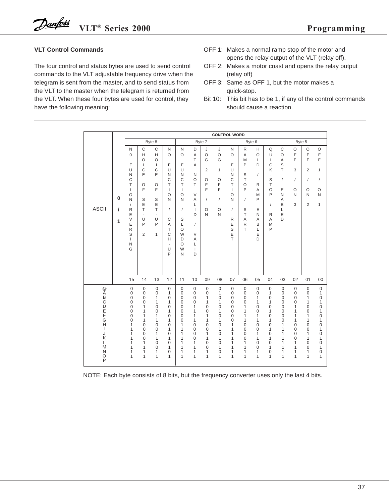### **VLT Control Commands**

The four control and status bytes are used to send control commands to the VLT adjustable frequency drive when the telegram is sent from the master, and to send status from the VLT to the master when the telegram is returned from the VLT. When these four bytes are used for control, they have the following meaning:

- OFF 1: Makes a normal ramp stop of the motor and opens the relay output of the VLT (relay off).
- OFF 2: Makes a motor coast and opens the relay output (relay off)
- OFF 3: Same as OFF 1, but the motor makes a quick-stop.
- Bit 10: This bit has to be 1, if any of the control commands should cause a reaction.

|                                                                         |             |                                                                                                                                                                                       |                                                                                                                                             |                                                                                                                                                              |                                                                                                                                                                    |                                                                                                                                                |                                                                                                                                          |                                                                                                                                                                                                 |                                                                                        | <b>CONTROL WORD</b>                                                                                                            |                                                                                                                                                                                              |                                                                                                                                                           |                                                                                                                                          |                                                                                                                                                                                                         |                                                                                        |                                                                                                          |                                                                                                                                                                          |
|-------------------------------------------------------------------------|-------------|---------------------------------------------------------------------------------------------------------------------------------------------------------------------------------------|---------------------------------------------------------------------------------------------------------------------------------------------|--------------------------------------------------------------------------------------------------------------------------------------------------------------|--------------------------------------------------------------------------------------------------------------------------------------------------------------------|------------------------------------------------------------------------------------------------------------------------------------------------|------------------------------------------------------------------------------------------------------------------------------------------|-------------------------------------------------------------------------------------------------------------------------------------------------------------------------------------------------|----------------------------------------------------------------------------------------|--------------------------------------------------------------------------------------------------------------------------------|----------------------------------------------------------------------------------------------------------------------------------------------------------------------------------------------|-----------------------------------------------------------------------------------------------------------------------------------------------------------|------------------------------------------------------------------------------------------------------------------------------------------|---------------------------------------------------------------------------------------------------------------------------------------------------------------------------------------------------------|----------------------------------------------------------------------------------------|----------------------------------------------------------------------------------------------------------|--------------------------------------------------------------------------------------------------------------------------------------------------------------------------|
|                                                                         |             |                                                                                                                                                                                       |                                                                                                                                             | Byte 8                                                                                                                                                       |                                                                                                                                                                    |                                                                                                                                                |                                                                                                                                          | Byte 7                                                                                                                                                                                          |                                                                                        |                                                                                                                                |                                                                                                                                                                                              | Byte 6                                                                                                                                                    |                                                                                                                                          |                                                                                                                                                                                                         | Byte 5                                                                                 |                                                                                                          |                                                                                                                                                                          |
| <b>ASCII</b>                                                            | 0<br>I<br>1 | N<br>$\Omega$<br>F<br>$\cup$<br>N<br>$\mathsf{C}$<br>$\top$<br>$\mathbf{I}$<br>$\circ$<br>N<br>$\overline{1}$<br>R<br>E<br>$\vee$<br>E<br>$\mathsf{R}$<br>S<br>$\mathbf{I}$<br>N<br>G | $\mathsf{C}$<br>H<br>$\circ$<br>$\mathbf{I}$<br>$\mathsf{C}$<br>E<br>$\circ$<br>E<br>S<br>E<br>T.<br>L,<br>U<br>P<br>2                      | $\mathsf C$<br>H<br>$\circ$<br>$\mathbf{I}$<br>C<br>E<br>$\circ$<br>F<br>S<br>E<br>T<br>$\overline{\phantom{a}}$<br>U<br>P<br>$\mathbf{1}$                   | N<br>$\circ$<br>F<br>Ü<br>N<br>$\mathsf{C}$<br>$\top$<br>$\mathbf{I}$<br>$\circ$<br>N<br>$\prime$<br>$\mathsf{C}$<br>A<br>T<br>C<br>Н<br>ä,<br>U<br>P              | N<br>$\circ$<br>F<br>U<br>N<br>$\mathsf{C}$<br>$\top$<br>$\mathbf{I}$<br>$\circ$<br>N<br>$\prime$<br>S<br>L<br>O<br>W<br>D<br>O<br>W<br>N      | D<br>A<br>T<br>A<br>N<br>$\circ$<br>T.<br>$\vee$<br>A<br>L<br>$\mathbf{I}$<br>D<br>$\sqrt{2}$<br>V<br>Α<br>L<br>$\mathbf{I}$<br>D        | J<br>$\circ$<br>G<br>2<br>O<br>F<br>F<br>$\prime$<br>O<br>N                                                                                                                                     | J<br>$\circ$<br>G<br>$\mathbf{1}$<br>$\circ$<br>F<br>F<br>$\sqrt{2}$<br>$\circ$<br>N   | N<br>$\Omega$<br>F<br>U<br>N<br>C<br>T<br>$\mathbf{I}$<br>O<br>N<br>7<br>${\sf R}$<br>E<br>S<br>E<br>T                         | $\mathsf{R}$<br>A<br>M<br>P<br>S<br>T<br>$\circ$<br>P<br>$\prime$<br>S<br>T<br>A<br>R<br>T.                                                                                                  | $\mathsf{H}% _{\mathsf{H}}^{\ast}=\mathsf{H}_{\mathsf{H}}^{\ast}$<br>$\circ$<br>L<br>D<br>$\prime$<br>R<br>A<br>M<br>P<br>E<br>N<br>A<br>B<br>L<br>E<br>D | Q<br>U<br>$\mathbf{I}$<br>$\mathsf{C}$<br>Κ<br>$\overline{\phantom{a}}$<br>S<br>$\top$<br>$\circ$<br>P<br>$\sqrt{2}$<br>R<br>A<br>M<br>P | $\mathsf{C}$<br>$\circ$<br>A<br>S<br>$\top$<br>$\sqrt{2}$<br>E<br>N<br>A<br>B<br>L<br>E<br>D                                                                                                            | $\circ$<br>F<br>F<br>3<br>$\overline{1}$<br>O<br>N<br>3                                | $\circ$<br>F<br>F<br>$\overline{2}$<br>$\sqrt{2}$<br>$\circ$<br>N<br>$\overline{2}$                      | $\circ$<br>E<br>E<br>$\mathbf{1}$<br>$\sqrt{2}$<br>O<br>N<br>$\mathbf{1}$                                                                                                |
|                                                                         |             | 15                                                                                                                                                                                    | 14                                                                                                                                          | 13                                                                                                                                                           | 12                                                                                                                                                                 | 11                                                                                                                                             | 10                                                                                                                                       | 09                                                                                                                                                                                              | 08                                                                                     | 07                                                                                                                             | 06                                                                                                                                                                                           | 05                                                                                                                                                        | 04                                                                                                                                       | 03                                                                                                                                                                                                      | 02                                                                                     | 01                                                                                                       | 00                                                                                                                                                                       |
| @ABCDEFG<br>H<br>$\mathbf{I}$<br>J<br>Κ<br>L<br>M<br>$\frac{N}{O}$<br>P |             | $\mathbf 0$<br>$\mathbf 0$<br>0<br>0<br>0<br>0<br>0<br>$\mathbf 0$<br>1<br>1<br>1<br>1<br>1<br>1<br>1<br>1                                                                            | $\mathbf 0$<br>$\overline{0}$<br>$\mathbf 0$<br>0<br>1<br>1<br>1<br>1<br>$\mathbf 0$<br>$\mathbf 0$<br>$\mathbf 0$<br>0<br>1<br>1<br>1<br>1 | $\mathsf{O}\xspace$<br>$\mathbf 0$<br>1<br>1<br>$\mathbf{0}$<br>$\mathbf 0$<br>1<br>1<br>0<br>$\mathbf 0$<br>1<br>1<br>$\mathbf 0$<br>$\mathbf{0}$<br>1<br>1 | $\mathbf 0$<br>$\mathbf{1}$<br>0<br>1<br>$\mathbf 0$<br>1<br>$\mathbf 0$<br>$\mathbf{1}$<br>0<br>1<br>$\overline{0}$<br>1<br>$\mathbf 0$<br>$\mathbf{1}$<br>0<br>1 | $\mathbf 0$<br>$\overline{0}$<br>$\mathbf 0$<br>0<br>$\mathbf 0$<br>0<br>$\mathbf 0$<br>$\overline{0}$<br>1<br>1<br>1<br>1<br>1<br>1<br>1<br>1 | $\mathbf 0$<br>$\mathbf 0$<br>$\mathbf 0$<br>0<br>1<br>1<br>1<br>1<br>$\mathbf 0$<br>$\mathbf 0$<br>$\mathbf 0$<br>0<br>1<br>1<br>1<br>1 | $\mathsf 0$<br>$\mathsf 0$<br>$\mathbf{1}$<br>1<br>$\mathbf 0$<br>0<br>$\mathbf{1}$<br>$\mathbf{1}$<br>0<br>$\mathbf 0$<br>$\mathbf{1}$<br>1<br>$\mathbf 0$<br>$\mathbf 0$<br>1<br>$\mathbf{1}$ | $\mathbf 0$<br>1<br>0<br>1<br>0<br>1<br>0<br>1<br>0<br>1<br>0<br>1<br>0<br>1<br>0<br>1 | $\mathbf 0$<br>$\mathbf 0$<br>$\mathbf 0$<br>0<br>$\mathbf 0$<br>0<br>$\mathbf 0$<br>0<br>1<br>1<br>1<br>1<br>1<br>1<br>1<br>1 | $\mathsf{O}\xspace$<br>$\mathbf 0$<br>$\mathbf 0$<br>$\mathbf 0$<br>$\mathbf{1}$<br>1<br>$\mathbf{1}$<br>1<br>0<br>$\mathbf 0$<br>$\mathbf 0$<br>0<br>$\mathbf{1}$<br>1<br>1<br>$\mathbf{1}$ | $\mathbf 0$<br>0<br>1<br>1<br>0<br>0<br>1<br>1<br>0<br>0<br>1<br>1<br>0<br>0<br>1<br>1                                                                    | $\mathsf 0$<br>1<br>$\mathbf 0$<br>1<br>$\mathbf 0$<br>1<br>0<br>1<br>0<br>1<br>$\mathbf 0$<br>1<br>$\mathbf 0$<br>1<br>0<br>1           | $\mathbf 0$<br>$\mathbf 0$<br>$\mathbf 0$<br>$\overline{0}$<br>$\mathbf{0}$<br>$\mathbf 0$<br>$\overline{0}$<br>$\overline{0}$<br>1<br>1<br>$\mathbf{1}$<br>1<br>1<br>$\mathbf{1}$<br>1<br>$\mathbf{1}$ | $\mathsf 0$<br>0<br>0<br>0<br>1<br>1<br>1<br>1<br>0<br>0<br>0<br>0<br>1<br>1<br>1<br>1 | $\boldsymbol{0}$<br>0<br>1<br>1<br>$\overline{0}$<br>0<br>1<br>1<br>0<br>0<br>1<br>1<br>0<br>0<br>1<br>1 | $\,0\,$<br>1<br>$\boldsymbol{0}$<br>1<br>$\boldsymbol{0}$<br>$\mathbf{1}$<br>0<br>1<br>$\mathbf 0$<br>1<br>$\mathbf 0$<br>1<br>$\mathbf 0$<br>1<br>$\boldsymbol{0}$<br>1 |

NOTE: Each byte consists of 8 bits, but the frequency converter uses only the last 4 bits.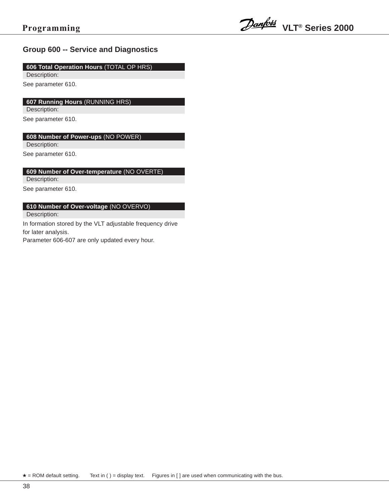### **Group 600 -- Service and Diagnostics**

### **606 Total Operation Hours** (TOTAL OP HRS)

Description:

See parameter 610.

### **607 Running Hours** (RUNNING HRS)

Description:

See parameter 610.

### **608 Number of Power-ups** (NO POWER)

Description:

See parameter 610.

### **609 Number of Over-temperature** (NO OVERTE)

Description:

See parameter 610.

### **610 Number of Over-voltage** (NO OVERVO)

Description:

In formation stored by the VLT adjustable frequency drive for later analysis.

Parameter 606-607 are only updated every hour.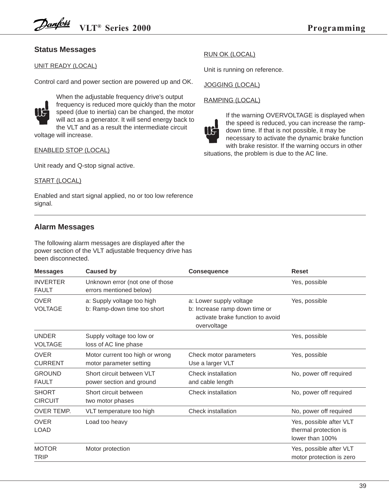### **Status Messages**

### UNIT READY (LOCAL)

Control card and power section are powered up and OK.

![](_page_36_Picture_5.jpeg)

When the adjustable frequency drive's output frequency is reduced more quickly than the motor speed (due to inertia) can be changed, the motor will act as a generator. It will send energy back to the VLT and as a result the intermediate circuit voltage will increase.

### ENABLED STOP (LOCAL)

Unit ready and Q-stop signal active.

### START (LOCAL)

Enabled and start signal applied, no or too low reference signal.

### **Alarm Messages**

The following alarm messages are displayed after the power section of the VLT adjustable frequency drive has been disconnected.

| <b>Messages</b>                 | <b>Caused by</b>                                           | <b>Consequence</b>                                                                                          | <b>Reset</b>                                                        |
|---------------------------------|------------------------------------------------------------|-------------------------------------------------------------------------------------------------------------|---------------------------------------------------------------------|
| <b>INVERTER</b><br><b>FAULT</b> | Unknown error (not one of those<br>errors mentioned below) |                                                                                                             | Yes, possible                                                       |
| <b>OVER</b><br><b>VOLTAGE</b>   | a: Supply voltage too high<br>b: Ramp-down time too short  | a: Lower supply voltage<br>b: Increase ramp down time or<br>activate brake function to avoid<br>overvoltage | Yes, possible                                                       |
| <b>UNDER</b><br><b>VOLTAGE</b>  | Supply voltage too low or<br>loss of AC line phase         |                                                                                                             | Yes, possible                                                       |
| <b>OVER</b><br><b>CURRENT</b>   | Motor current too high or wrong<br>motor parameter setting | Check motor parameters<br>Use a larger VLT                                                                  | Yes, possible                                                       |
| <b>GROUND</b><br><b>FAULT</b>   | Short circuit between VLT<br>power section and ground      | Check installation<br>and cable length                                                                      | No, power off required                                              |
| <b>SHORT</b><br><b>CIRCUIT</b>  | Short circuit between<br>two motor phases                  | <b>Check installation</b>                                                                                   | No, power off required                                              |
| OVER TEMP.                      | VLT temperature too high                                   | Check installation                                                                                          | No, power off required                                              |
| <b>OVER</b><br>LOAD             | Load too heavy                                             |                                                                                                             | Yes, possible after VLT<br>thermal protection is<br>lower than 100% |
| <b>MOTOR</b><br><b>TRIP</b>     | Motor protection                                           |                                                                                                             | Yes, possible after VLT<br>motor protection is zero                 |

### RUN OK (LOCAL)

Unit is running on reference.

JOGGING (LOCAL)

### RAMPING (LOCAL)

![](_page_36_Picture_18.jpeg)

If the warning OVERVOLTAGE is displayed when the speed is reduced, you can increase the rampdown time. If that is not possible, it may be necessary to activate the dynamic brake function with brake resistor. If the warning occurs in other

situations, the problem is due to the AC line.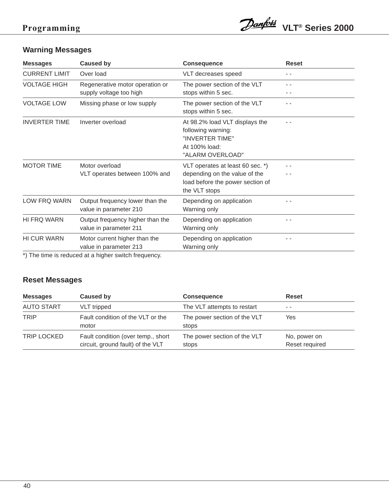![](_page_37_Picture_1.jpeg)

## **Warning Messages**

| <b>Messages</b>      | <b>Caused by</b>                                                       | <b>Consequence</b>                                                                                                     | <b>Reset</b> |
|----------------------|------------------------------------------------------------------------|------------------------------------------------------------------------------------------------------------------------|--------------|
| <b>CURRENT LIMIT</b> | Over load                                                              | VLT decreases speed                                                                                                    |              |
| <b>VOLTAGE HIGH</b>  | Regenerative motor operation or<br>supply voltage too high             | The power section of the VLT<br>stops within 5 sec.                                                                    |              |
| <b>VOLTAGE LOW</b>   | Missing phase or low supply                                            | The power section of the VLT<br>stops within 5 sec.                                                                    |              |
| <b>INVERTER TIME</b> | Inverter overload                                                      | At 98.2% load VLT displays the<br>following warning:<br>"INVERTER TIME"<br>At 100% load:<br>"ALARM OVERLOAD"           |              |
| <b>MOTOR TIME</b>    | Motor overload<br>VLT operates between 100% and                        | VLT operates at least 60 sec. *)<br>depending on the value of the<br>load before the power section of<br>the VLT stops |              |
| LOW FRQ WARN         | Output frequency lower than the<br>value in parameter 210              | Depending on application<br>Warning only                                                                               |              |
| HI FRQ WARN          | Output frequency higher than the<br>value in parameter 211             | Depending on application<br>Warning only                                                                               |              |
| <b>HI CUR WARN</b>   | Motor current higher than the<br>value in parameter 213                | Depending on application<br>Warning only                                                                               |              |
|                      | $\star$ ). The time is no directed at a bigher angles from microscopic |                                                                                                                        |              |

\*) The time is reduced at a higher switch frequency.

### **Reset Messages**

| <b>Messages</b>    | Caused by                                                               | <b>Consequence</b>                    | <b>Reset</b>                   |
|--------------------|-------------------------------------------------------------------------|---------------------------------------|--------------------------------|
| <b>AUTO START</b>  | VLT tripped                                                             | The VLT attempts to restart           | $ -$                           |
| <b>TRIP</b>        | Fault condition of the VLT or the<br>motor                              | The power section of the VLT<br>stops | Yes                            |
| <b>TRIP LOCKED</b> | Fault condition (over temp., short<br>circuit, ground fault) of the VLT | The power section of the VLT<br>stops | No, power on<br>Reset required |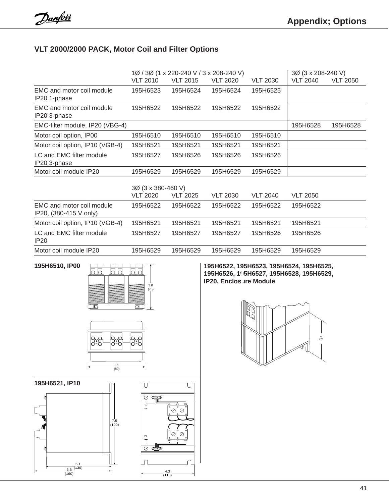### **Appendix VLT 2000/2000 PACK, Motor Coil and Filter Options**

|                                                     |                                       | 1Ø / 3Ø (1 x 220-240 V / 3 x 208-240 V) |                 |                 | 3Ø (3 x 208-240 V) |                 |
|-----------------------------------------------------|---------------------------------------|-----------------------------------------|-----------------|-----------------|--------------------|-----------------|
|                                                     | <b>VLT 2010</b>                       | <b>VLT 2015</b>                         | <b>VLT 2020</b> | <b>VLT 2030</b> | <b>VLT 2040</b>    | <b>VLT 2050</b> |
| EMC and motor coil module<br>IP20 1-phase           | 195H6523                              | 195H6524                                | 195H6524        | 195H6525        |                    |                 |
| EMC and motor coil module<br>IP20 3-phase           | 195H6522                              | 195H6522                                | 195H6522        | 195H6522        |                    |                 |
| EMC-filter module, IP20 (VBG-4)                     |                                       |                                         |                 |                 | 195H6528           | 195H6528        |
| Motor coil option, IP00                             | 195H6510                              | 195H6510                                | 195H6510        | 195H6510        |                    |                 |
| Motor coil option, IP10 (VGB-4)                     | 195H6521                              | 195H6521                                | 195H6521        | 195H6521        |                    |                 |
| LC and EMC filter module<br>IP20 3-phase            | 195H6527                              | 195H6526                                | 195H6526        | 195H6526        |                    |                 |
| Motor coil module IP20                              | 195H6529                              | 195H6529                                | 195H6529        | 195H6529        |                    |                 |
|                                                     | 3Ø (3 x 380-460 V)<br><b>VLT 2020</b> | <b>VLT 2025</b>                         | <b>VLT 2030</b> | <b>VLT 2040</b> | <b>VLT 2050</b>    |                 |
| EMC and motor coil module<br>IP20, (380-415 V only) | 195H6522                              | 195H6522                                | 195H6522        | 195H6522        | 195H6522           |                 |
| Motor coil option, IP10 (VGB-4)                     | 195H6521                              | 195H6521                                | 195H6521        | 195H6521        | 195H6521           |                 |
| LC and EMC filter module<br>IP20                    | 195H6527                              | 195H6527                                | 195H6527        | 195H6526        | 195H6526           |                 |
| Motor coil module IP20                              | 195H6529                              | 195H6529                                | 195H6529        | 195H6529        | 195H6529           |                 |

![](_page_38_Picture_5.jpeg)

![](_page_38_Figure_6.jpeg)

![](_page_38_Figure_7.jpeg)

**195H6510, IP00 195H6522, 195H6523, 195H6524, 195H6525, 195H6526, 195H6527, 195H6528, 195H6529, IP20, Enclos are Module** 

![](_page_38_Picture_9.jpeg)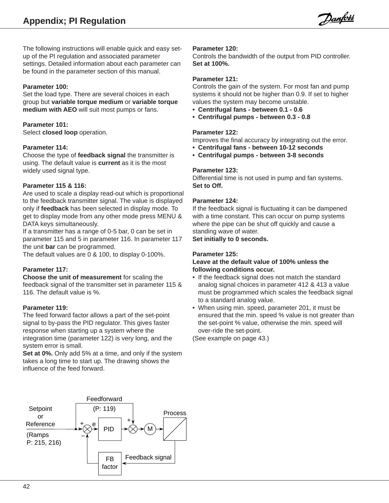Danfoss

The following instructions will enable quick and easy setup of the PI regulation and associated parameter settings. Detailed information about each parameter can be found in the parameter section of this manual.

### **Parameter 100:**

Set the load type. There are several choices in each group but **variable torque medium** or **variable torque medium with AEO** will suit most pumps or fans.

### **Parameter 101:**

Select **closed loop** operation.

### **Parameter 114:**

Choose the type of **feedback signal** the transmitter is using. The default value is **current** as it is the most widely used signal type.

### **Parameter 115 & 116:**

Are used to scale a display read-out which is proportional to the feedback transmitter signal. The value is displayed only if **feedback** has been selected in display mode. To get to display mode from any other mode press MENU & DATA keys simultaneously.

If a transmitter has a range of 0-5 bar, 0 can be set in parameter 115 and 5 in parameter 116. In parameter 117 the unit **bar** can be programmed.

The default values are 0 & 100, to display 0-100%.

### **Parameter 117:**

**Choose the unit of measurement** for scaling the feedback signal of the transmitter set in parameter 115 & 116. The default value is %.

### **Parameter 119:**

The feed forward factor allows a part of the set-point signal to by-pass the PID regulator. This gives faster response when starting up a system where the integration time (parameter 122) is very long, and the system error is small.

**Set at 0%.** Only add 5% at a time, and only if the system takes a long time to start up. The drawing shows the influence of the feed forward.

#### **Parameter 120:**

Controls the bandwidth of the output from PID controller. **Set at 100%.**

#### **Parameter 121:**

Controls the gain of the system. For most fan and pump systems it should not be higher than 0.9. If set to higher values the system may become unstable.

- **Centrifugal fans between 0.1 0.6**
- **Centrifugal pumps between 0.3 0.8**

### **Parameter 122:**

Improves the final accuracy by integrating out the error.

- **Centrifugal fans between 10-12 seconds**
- **Centrifugal pumps between 3-8 seconds**

### **Parameter 123:**

Differential time is not used in pump and fan systems. **Set to Off.**

### **Parameter 124:**

If the feedback signal is fluctuating it can be dampened with a time constant. This can occur on pump systems where the pipe can be shut off quickly and cause a standing wave of water.

**Set initially to 0 seconds.**

### **Parameter 125:**

### **Leave at the default value of 100% unless the following conditions occur.**

- If the feedback signal does not match the standard analog signal choices in parameter 412 & 413 a value must be programmed which scales the feedback signal to a standard analog value.
- When using min. speed, parameter 201, it must be ensured that the min. speed % value is not greater than the set-point % value, otherwise the min. speed will over-ride the set-point.

(See example on page 43.)

![](_page_39_Figure_38.jpeg)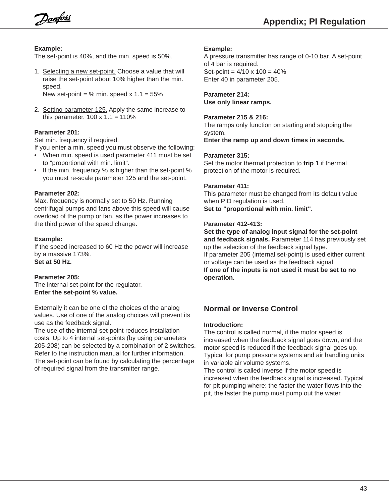**Appendix; PI Regulation**

Danfoss

### **Example:**

The set-point is 40%, and the min. speed is 50%.

1. Selecting a new set-point. Choose a value that will raise the set-point about 10% higher than the min. speed.

New set-point =  $%$  min. speed x 1.1 = 55%

2. Setting parameter 125. Apply the same increase to this parameter.  $100 \times 1.1 = 110\%$ 

### **Parameter 201:**

Set min. frequency if required.

If you enter a min. speed you must observe the following:

- When min. speed is used parameter 411 must be set to "proportional with min. limit".
- If the min. frequency % is higher than the set-point % you must re-scale parameter 125 and the set-point.

### **Parameter 202:**

Max. frequency is normally set to 50 Hz. Running centrifugal pumps and fans above this speed will cause overload of the pump or fan, as the power increases to the third power of the speed change.

### **Example:**

If the speed increased to 60 Hz the power will increase by a massive 173%. **Set at 50 Hz.**

### **Parameter 205:**

The internal set-point for the regulator. **Enter the set-point % value.**

Externally it can be one of the choices of the analog values. Use of one of the analog choices will prevent its use as the feedback signal.

The use of the internal set-point reduces installation costs. Up to 4 internal set-points (by using parameters 205-208) can be selected by a combination of 2 switches. Refer to the instruction manual for further information. The set-point can be found by calculating the percentage of required signal from the transmitter range.

### **Example:**

A pressure transmitter has range of 0-10 bar. A set-point of 4 bar is required. Set-point =  $4/10 \times 100 = 40\%$ Enter 40 in parameter 205.

**Parameter 214: Use only linear ramps.**

### **Parameter 215 & 216:**

The ramps only function on starting and stopping the system.

**Enter the ramp up and down times in seconds.**

### **Parameter 315:**

Set the motor thermal protection to **trip 1** if thermal protection of the motor is required.

### **Parameter 411:**

This parameter must be changed from its default value when PID regulation is used.

**Set to "proportional with min. limit".**

### **Parameter 412-413:**

**Set the type of analog input signal for the set-point and feedback signals.** Parameter 114 has previously set up the selection of the feedback signal type. If parameter 205 (internal set-point) is used either current or voltage can be used as the feedback signal. **If one of the inputs is not used it must be set to no operation.**

### **Normal or Inverse Control**

### **Introduction:**

The control is called normal, if the motor speed is increased when the feedback signal goes down, and the motor speed is reduced if the feedback signal goes up. Typical for pump pressure systems and air handling units in variable air volume systems.

The control is called inverse if the motor speed is increased when the feedback signal is increased. Typical for pit pumping where: the faster the water flows into the pit, the faster the pump must pump out the water.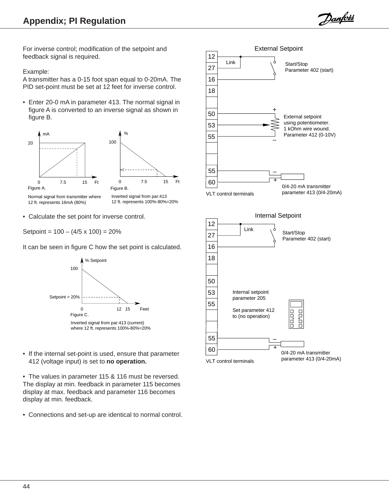Danfoss

For inverse control; modification of the setpoint and feedback signal is required.

### Example:

A transmitter has a 0-15 foot span equal to 0-20mA. The PID set-point must be set at 12 feet for inverse control.

• Enter 20-0 mA in parameter 413. The normal signal in figure A is converted to an inverse signal as shown in figure B.

![](_page_41_Figure_6.jpeg)

• Calculate the set point for inverse control.

Setpoint =  $100 - (4/5 \times 100) = 20\%$ 

It can be seen in figure C how the set point is calculated.

![](_page_41_Figure_10.jpeg)

- If the internal set-point is used, ensure that parameter 412 (voltage input) is set to **no operation.**
- The values in parameter 115 & 116 must be reversed. The display at min. feedback in parameter 115 becomes display at max. feedback and parameter 116 becomes display at min. feedback.
- Connections and set-up are identical to normal control.

![](_page_41_Figure_14.jpeg)

![](_page_41_Figure_15.jpeg)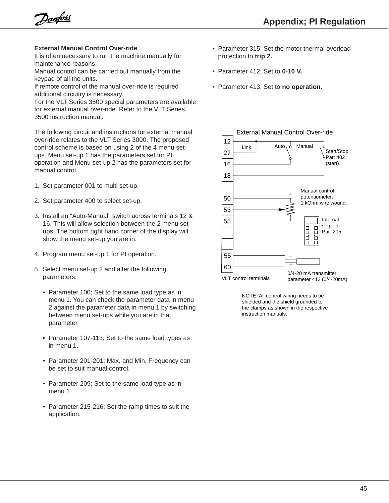Danfoss

### **External Manual Control Over-ride**

It is often necessary to run the machine manually for maintenance reasons.

Manual control can be carried out manually from the keypad of all the units.

If remote control of the manual over-ride is required additional circuitry is necessary.

For the VLT Series 3500 special parameters are available for external manual over-ride. Refer to the VLT Series 3500 instruction manual.

The following circuit and instructions for external manual over-ride relates to the VLT Series 3000. The proposed control scheme is based on using 2 of the 4 menu setups. Menu set-up 1 has the parameters set for PI operation and Menu set-up 2 has the parameters set for manual control.

- 1. Set parameter 001 to multi set-up.
- 2. Set parameter 400 to select set-up.
- 3. Install an "Auto-Manual" switch across terminals 12 & 16. This will allow selection between the 2 menu setups. The bottom right hand corner of the display will show the menu set-up you are in.
- 4. Program menu set-up 1 for PI operation.
- 5. Select menu set-up 2 and alter the following parameters:
	- Parameter 100; Set to the same load type as in menu 1. You can check the parameter data in menu 2 against the parameter data in menu 1 by switching between menu set-ups while you are in that parameter.
	- Parameter 107-113; Set to the same load types as in menu 1.
	- Parameter 201-201; Max. and Min. Frequency can be set to suit manual control.
	- Parameter 209; Set to the same load type as in menu 1.
	- Parameter 215-216; Set the ramp times to suit the application.
- Parameter 315; Set the motor thermal overload protection to **trip 2.**
- Parameter 412; Set to **0-10 V.**
- Parameter 413; Set to **no operation.**

![](_page_42_Figure_21.jpeg)

NOTE: All control wiring needs to be shielded and the shield grounded to the clamps as shown in the respective instruction manuals.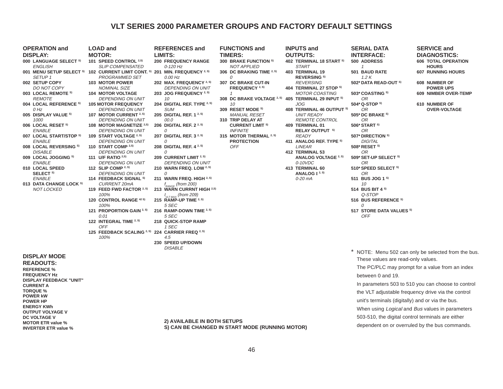### **VLT SERIES 2000 PARAMETER GROUPS AND FACTORY DEFAULT SETTINGS**

| <b>OPERATION and</b>                      | <b>LOAD and</b>                                                | R  |
|-------------------------------------------|----------------------------------------------------------------|----|
| <b>DISPLAY:</b>                           | <b>MOTOR:</b>                                                  | Ц  |
| 000 LANGUAGE SELECT SY<br><b>ENGLISH</b>  | 101 SPEED CONTROL <sup>2,S)</sup><br><b>SLIP COMPENSATED</b>   | 20 |
| 001 MENU SETUP SELECT SY<br><b>SETUP1</b> | 102 CURRENT LIMIT CONT. S)<br><b>PROGRAMMED SET</b>            | 20 |
| 002 SETUP COPY<br>DO NOT COPY             | <b>103 MOTOR POWER</b><br><b>NOMINAL SIZE</b>                  | 20 |
| 003 LOCAL REMOTE S)<br><b>REMOTE</b>      | <b>104 MOTOR VOLTAGE</b><br><b>DEPENDING ON UNIT</b>           | 20 |
| 004 LOCAL REFERENCE SI<br>0 Hz            | <b>105 MOTOR FREQUENCY</b><br><b>DEPENDING ON UNIT</b>         | 20 |
| 005 DISPLAY VALUE SI<br>1000              | 107 MOTOR CURRENT <sup>2, S)</sup><br><b>DEPENDING ON UNIT</b> | 20 |
| 006 LOCAL RESET S)<br><b>ENABLE</b>       | 108 MOTOR MAGNETIZE 2,S)<br><b>DEPENDING ON UNIT</b>           | 20 |
| 007 LOCAL START/STOP S)<br><b>ENABLE</b>  | 109 START VOLTAGE 2, S)<br><b>DEPENDING ON UNIT</b>            | 20 |
| 008 LOCAL REVERSING S)<br><b>DISABLE</b>  | 110 START COMP <sup>2,S)</sup><br><b>DEPENDING ON UNIT</b>     | 20 |
| 009 LOCAL JOGGING SY<br><b>ENABLE</b>     | 111 U/F RATIO 2,S)<br><b>DEPENDING ON UNIT</b>                 | 20 |
| 010 LOCAL SPEED<br>SELECT <sup>S)</sup>   | 112 SLIP COMP $^{2, S)}$<br><b>DEPENDING ON UNIT</b>           | 21 |
| <b>ENABLE</b><br>013 DATA CHANGE LOCK S)  | 114 FEEDBACK SIGNAL SI<br><b>CURRENT 20mA</b>                  | 21 |
| <b>NOT LOCKED</b>                         | 119 FEED FWD FACTOR 2, S)<br>100%                              | 21 |
|                                           | 120 CONTROL RANGE 42 S)<br>100%                                | 21 |
|                                           | 121 PROPORTION GAIN <sup>2, S)</sup><br>0.01                   | 21 |
|                                           | 122 INTEGRAL TIME 2, S)<br><b>OFF</b>                          | 21 |
|                                           | 125 FEEDBACK SCALING 2, S)<br>100%                             | 22 |
|                                           |                                                                | 23 |

|                         |     | <b>REFERENCES and</b>               |
|-------------------------|-----|-------------------------------------|
|                         |     | <b>LIMITS:</b>                      |
| 2, S)                   |     | <b>200 FREQUENCY RANGE</b>          |
| ΈD                      |     | $0 - 120$ Hz                        |
| ONT. S)                 |     | 201 MIN. FREQUENCY 2, S)            |
| $\overline{\mathbf{f}}$ |     | 0.00 Hz                             |
|                         |     | 202 MAX, FREQUENCY <sup>2, S)</sup> |
|                         |     | <b>DEPENDING ON UNIT</b>            |
|                         |     | 203 JOG FREQUENCY 2, S)             |
| 'NIT                    |     | 10                                  |
| СY                      |     | 204 DIGITAL REF. TYPE 2, S)         |
| <b>NIT</b>              |     | <b>SUM</b>                          |
| $-2, S$                 |     | 205 DIGITAL REF. 1 $^{2,8)}$        |
| <b>NIT</b>              |     | 00.0                                |
| $ZE^{2, S)}$            |     | 206 DIGITAL REF. 2 <sup>2, S)</sup> |
| NIT                     |     | 0                                   |
| !, S)                   |     | 207 DIGITAL REF. 3 <sup>2, S)</sup> |
| <b>NIT</b>              |     | 0                                   |
|                         | 208 | DIGITAL REF. 4 <sup>2, S)</sup>     |
| <b>NIT</b>              |     | 0                                   |
|                         |     | 209 CURRENT LIMIT 2, S)             |
| <b>NIT</b>              |     | <b>DEPENDING ON UNIT</b>            |
|                         |     | 210 WARN FREQ. LOW 2, S)            |
| 'NIT                    |     | 0                                   |
| (L <sub>s</sub> )       | 211 | WARN FREQ. HIGH 2, S)               |
|                         |     | $f_{\rm RANGE}$ (from 200)          |
| $R^{2, S}$              |     | 213 WARN CURRNT HIGH 2,S)           |
|                         |     | $I_{VLT MAX}$ (from 209)            |
| 42S                     |     | 215 RAMP-UP TIME 2, S)              |
|                         |     | 5 SEC                               |
| $N^{2, S}$              |     | 216 RAMP-DOWN TIME 2, S)            |
|                         |     | 5 SEC                               |
| S)                      |     | 218 QUICK-STOP RAMP                 |
|                         |     | 1 SEC                               |
| NG <sup>2, S</sup>      |     | 224 CARRIER FREQ 2, S)              |
|                         |     | 4.5                                 |
|                         |     | 230 SPEED UP/DOWN                   |

DISABLE

|           |                | <b>FUNCTIONS and</b>                          |  |  |  |  |  |  |
|-----------|----------------|-----------------------------------------------|--|--|--|--|--|--|
|           | <b>TIMERS:</b> |                                               |  |  |  |  |  |  |
| E         |                | 300 BRAKE FUNCTION S)<br><b>NOT APPLIED</b>   |  |  |  |  |  |  |
| S)        |                | 306 DC BRAKING TIME 2, S)                     |  |  |  |  |  |  |
|           |                | $\Omega$                                      |  |  |  |  |  |  |
| , S)      |                | 307 DC BRAKE CUT-IN                           |  |  |  |  |  |  |
| $\tau$    |                | FREQUENCY <sup>2, S)</sup>                    |  |  |  |  |  |  |
| S)        |                | $\mathbf{1}$                                  |  |  |  |  |  |  |
| 2, S)     |                | 308 DC BRAKE VOLTAGE 2, S)<br>10 <sup>1</sup> |  |  |  |  |  |  |
|           |                | 309 RESET MODE S)                             |  |  |  |  |  |  |
|           |                | <b>MANUAL RESET</b>                           |  |  |  |  |  |  |
|           |                |                                               |  |  |  |  |  |  |
|           |                | 310 TRIP DELAY AT                             |  |  |  |  |  |  |
|           |                | <b>CURRENT LIMIT SI</b>                       |  |  |  |  |  |  |
|           |                | <b>INFINITE</b>                               |  |  |  |  |  |  |
|           |                | 315 MOTOR THERMAL <sup>2, S)</sup>            |  |  |  |  |  |  |
|           |                | <b>PROTECTION</b>                             |  |  |  |  |  |  |
|           |                | OFF                                           |  |  |  |  |  |  |
|           |                |                                               |  |  |  |  |  |  |
|           |                |                                               |  |  |  |  |  |  |
| $\tau$    |                |                                               |  |  |  |  |  |  |
| . S)      |                |                                               |  |  |  |  |  |  |
|           |                |                                               |  |  |  |  |  |  |
|           |                |                                               |  |  |  |  |  |  |
| :, S)     |                |                                               |  |  |  |  |  |  |
|           |                |                                               |  |  |  |  |  |  |
| $H^{2,S}$ |                |                                               |  |  |  |  |  |  |
|           |                |                                               |  |  |  |  |  |  |
|           |                |                                               |  |  |  |  |  |  |
|           |                |                                               |  |  |  |  |  |  |
| , S)      |                |                                               |  |  |  |  |  |  |
|           |                |                                               |  |  |  |  |  |  |
|           |                |                                               |  |  |  |  |  |  |
|           |                |                                               |  |  |  |  |  |  |

**INPUTS and OUTPUTS: 402 TERMINAL 18 START S)** START **403 TERMINAL 19 REVERSING S)** REVERSING **404 TERMINAL 27 STOP S)** MOTOR COASTING **405 TERMINAL 29 INPUT S)** JOG **408 TERMINAL 46 OUTPUT S)** UNIT READY REMOTE CONTROL **409 TERMINAL 01 RELAY OUTPUT S)** READY **411 ANALOG REF. TYPE S)** LINEAR **412 TERMINAL 53 ANALOG VOLTAGE 2, S)**  $0-10VDC$ **413 TERMINAL 60 ANALOG I 2, S)** 0-20 mA **SERIAL DATA INTERFACE: 500 ADDRESS 501 BAUD RATE 502\* DATA READ-OUT S) 503\* COASTING S) 504\* Q-STOP S) 505\* DC BRAKE S) 506\* START S) 507\* DIRECTION S) 508\* RESET S) 509\* SET-UP SELECT S) 510\* SPEED SELECT S) 511 BUS JOG 1 S) 514 BUS BIT 4 S) 516 BUS REFERENCE S) 517 STORE DATA VALUES S)**

1

1.2 K

OR

OR

OR

OR

OR

OR

OR

10

 $\Omega$ 

OFF

Q-STOP

**DIGITAL** 

#### **SERVICE and DIAGNOSTICS: 606 TOTAL OPERATION HOURS 607 RUNNING HOURS 608 NUMBER OF POWER UPS 609 NIMBER OVER-TEMP 610 NUMBER OF**

**OVER-VOLTAGE**

\* NOTE: Menu 502 can only be selected from the bus.

The PC/PLC may prompt for a value from an index

In parameters 503 to 510 you can choose to control the VLT adjustable frequency drive via the control unit's terminals (digitally) and or via the bus. When using Logical and Bus values in parameters 503-510, the digital control terminals are either

These values are read-only values.

between 0 and 19.

### **DISPLAY MODE**

**READOUTS: REFERENCE % FREQUENCY Hz DISPLAY FEEDBACK "UNIT" CURRENT A TORQUE % POWER kW POWER HP ENERGY KWh OUTPUT VOLYAGE V DC VOLTAGE V MOTOR ETR value % INVERTER ETR value %**

dependent on or overruled by the bus commands. **2) AVAILABLE IN BOTH SETUPS S) CAN BE CHANGED IN START MODE (RUNNING MOTOR)**

46